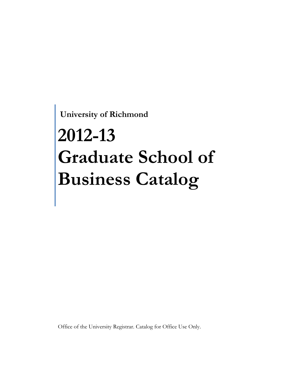**University of Richmond** 

# **2012-13 Graduate School of Business Catalog**

Office of the University Registrar. Catalog for Office Use Only.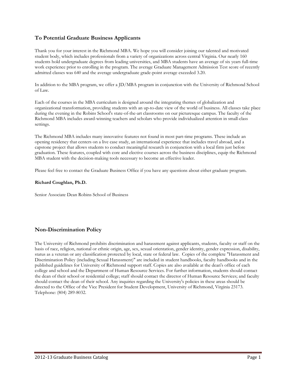## **To Potential Graduate Business Applicants**

Thank you for your interest in the Richmond MBA. We hope you will consider joining our talented and motivated student body, which includes professionals from a variety of organizations across central Virginia. Our nearly 160 students hold undergraduate degrees from leading universities, and MBA students have an average of six years full-time work experience prior to enrolling in the program. The average Graduate Management Admission Test score of recently admitted classes was 640 and the average undergraduate grade-point average exceeded 3.20.

In addition to the MBA program, we offer a JD/MBA program in conjunction with the University of Richmond School of Law.

Each of the courses in the MBA curriculum is designed around the integrating themes of globalization and organizational transformation, providing students with an up-to-date view of the world of business. All classes take place during the evening in the Robins School's state-of-the-art classrooms on our picturesque campus. The faculty of the Richmond MBA includes award-winning teachers and scholars who provide individualized attention in small-class settings.

The Richmond MBA includes many innovative features not found in most part-time programs. These include an opening residency that centers on a live case study, an international experience that includes travel abroad, and a capstone project that allows students to conduct meaningful research in conjunction with a local firm just before graduation. These features, coupled with core and elective courses across the business disciplines, equip the Richmond MBA student with the decision-making tools necessary to become an effective leader.

Please feel free to contact the Graduate Business Office if you have any questions about either graduate program.

#### **Richard Coughlan, Ph.D.**

Senior Associate Dean Robins School of Business

## **Non-Discrimination Policy**

The University of Richmond prohibits discrimination and harassment against applicants, students, faculty or staff on the basis of race, religion, national or ethnic origin, age, sex, sexual orientation, gender identity, gender expression, disability, status as a veteran or any classification protected by local, state or federal law. Copies of the complete "Harassment and Discrimination Policy (including Sexual Harassment)" are included in student handbooks, faculty handbooks and in the published guidelines for University of Richmond support staff. Copies are also available at the dean's office of each college and school and the Department of Human Resource Services. For further information, students should contact the dean of their school or residential college; staff should contact the director of Human Resource Services; and faculty should contact the dean of their school. Any inquiries regarding the University's policies in these areas should be directed to the Office of the Vice President for Student Development, University of Richmond, Virginia 23173. Telephone: (804) 289-8032.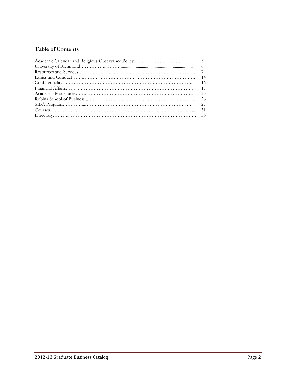# **Table of Contents**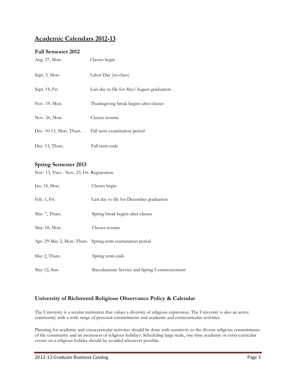# **Academic Calendars 2012-13**

## **Fall Semester 2012**

| Aug. 27, Mon.              | Classes begin                              |
|----------------------------|--------------------------------------------|
| Sept. 3, Mon.              | Labor Day (no class)                       |
| Sept. 14, Fri.             | Last day to file for May/August graduation |
| Nov. 19, Mon.              | Thanksgiving break begins after classes    |
| Nov. 26, Mon.              | Classes resume                             |
| Dec. $10-13$ , Mon.-Thurs. | Fall term examination period               |
| Dec. 13, Thurs.            | Fall term ends                             |

## **Spring Semester 2013**

Nov. 13, Tues - Nov. 23, Fri. Registration

| Jan. 14, Mon.  | Classes begin                                             |
|----------------|-----------------------------------------------------------|
| Feb. 1, Fri.   | Last day to file for December graduation                  |
| Mar. 7, Thurs. | Spring break begins after classes                         |
| Mar. 18, Mon.  | Classes resume                                            |
|                | Apr. 29-May 2, Mon.-Thurs. Spring term examination period |
| May 2, Thurs.  | Spring term ends                                          |
| May 12, Sun.   | Baccalaureate Service and Spring Commencement             |

## **University of Richmond Religious Observance Policy & Calendar**

The University is a secular institution that values a diversity of religious expression. The University is also an active community with a wide range of personal commitments and academic and extracurricular activities.

Planning for academic and extracurricular activities should be done with sensitivity to the diverse religious commitments of the community and an awareness of religious holidays. Scheduling large-scale, one-time academic or extra-curricular events on a religious holiday should be avoided whenever possible.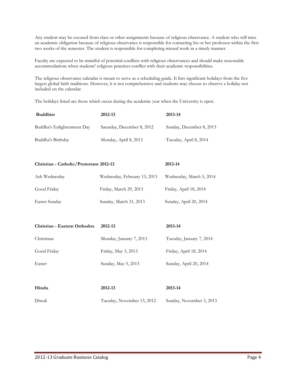Any student may be excused from class or other assignments because of religious observance. A student who will miss an academic obligation because of religious observance is responsible for contacting his or her professor within the first two weeks of the semester. The student is responsible for completing missed work in a timely manner.

Faculty are expected to be mindful of potential conflicts with religious observances and should make reasonable accommodations when students' religious practices conflict with their academic responsibilities.

The religious observance calendar is meant to serve as a scheduling guide. It lists significant holidays from the five largest global faith traditions. However, it is not comprehensive and students may choose to observe a holiday not included on the calendar.

The holidays listed are those which occur during the academic year when the University is open.

| <b>Buddhist</b>            | 2012-13                    | 2013-14                  |
|----------------------------|----------------------------|--------------------------|
| Buddha's Enlightenment Day | Saturday, December 8, 2012 | Sunday, December 8, 2013 |
| Buddha's Birthday          | Monday, April 8, 2013      | Tuesday, April 8, 2014   |

**Christian - Catholic/Protestant 2012-13 2013-14**

| Ash Wednesday | Wednesday, February 13, 2013 | Wednesday, March 5, 2014 |
|---------------|------------------------------|--------------------------|
| Good Friday   | Friday, March 29, 2013       | Friday, April 18, 2014   |
| Easter Sunday | Sunday, March 31, 2013       | Sunday, April 20, 2014   |

| Christian - Eastern Orthodox | 2012-13                 | 2013-14                  |
|------------------------------|-------------------------|--------------------------|
| Christmas                    | Monday, January 7, 2013 | Tuesday, January 7, 2014 |
| Good Friday                  | Friday, May 3, 2013     | Friday, April 18, 2014   |
| Easter                       | Sunday, May 5, 2013     | Sunday, April 20, 2014   |

| Hindu  | 2012-13                    | 2013-14                  |
|--------|----------------------------|--------------------------|
| Diwali | Tuesday, November 13, 2012 | Sunday, November 3, 2013 |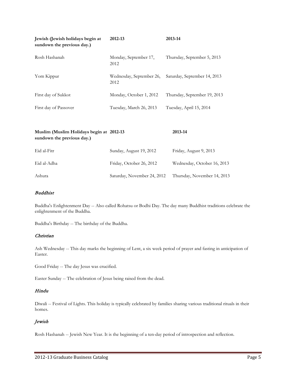| Jewish (Jewish holidays begin at<br>sundown the previous day.) | 2012-13                          | 2013-14                      |
|----------------------------------------------------------------|----------------------------------|------------------------------|
| Rosh Hashanah                                                  | Monday, September 17,<br>2012    | Thursday, September 5, 2013  |
| Yom Kippur                                                     | Wednesday, September 26,<br>2012 | Saturday, September 14, 2013 |
| First day of Sukkot                                            | Monday, October 1, 2012          | Thursday, September 19, 2013 |
| First day of Passover                                          | Tuesday, March 26, 2013          | Tuesday, April 15, 2014      |

| Muslim (Muslim Holidays begin at 2012-13<br>sundown the previous day.) |                             | 2013-14                     |
|------------------------------------------------------------------------|-----------------------------|-----------------------------|
| Eid al-Fitr                                                            | Sunday, August 19, 2012     | Friday, August 9, 2013      |
| Eid al-Adha                                                            | Friday, October 26, 2012    | Wednesday, October 16, 2013 |
| Ashura                                                                 | Saturday, November 24, 2012 | Thursday, November 14, 2013 |

#### Buddhist

Buddha's Enlightenment Day -- Also called Rohatsu or Bodhi Day. The day many Buddhist traditions celebrate the enlightenment of the Buddha.

Buddha's Birthday -- The birthday of the Buddha.

#### Christian

Ash Wednesday -- This day marks the beginning of Lent, a six week period of prayer and fasting in anticipation of Easter.

Good Friday -- The day Jesus was crucified.

Easter Sunday -- The celebration of Jesus being raised from the dead.

#### Hindu

Diwali -- Festival of Lights. This holiday is typically celebrated by families sharing various traditional rituals in their homes.

## Jewish

Rosh Hashanah -- Jewish New Year. It is the beginning of a ten-day period of introspection and reflection.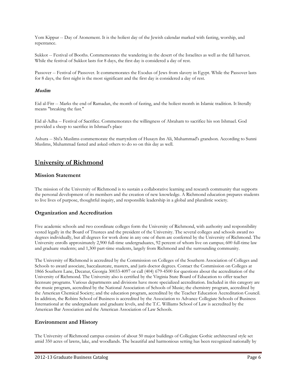Yom Kippur -- Day of Atonement. It is the holiest day of the Jewish calendar marked with fasting, worship, and repentance.

Sukkot -- Festival of Booths. Commemorates the wandering in the desert of the Israelites as well as the fall harvest. While the festival of Sukkot lasts for 8 days, the first day is considered a day of rest.

Passover -- Festival of Passover. It commemorates the Exodus of Jews from slavery in Egypt. While the Passover lasts for 8 days, the first night is the most significant and the first day is considered a day of rest.

#### Muslim

Eid al-Fitr -- Marks the end of Ramadan, the month of fasting, and the holiest month in Islamic tradition. It literally means "breaking the fast."

Eid al-Adha -- Festival of Sacrifice. Commemorates the willingness of Abraham to sacrifice his son Ishmael. God provided a sheep to sacrifice in Ishmael's place

Ashura -- Shi'a Muslims commemorate the martyrdom of Husayn ibn Ali, Muhammad's grandson. According to Sunni Muslims, Muhammad fasted and asked others to do so on this day as well.

# **University of Richmond**

## **Mission Statement**

The mission of the University of Richmond is to sustain a collaborative learning and research community that supports the personal development of its members and the creation of new knowledge. A Richmond education prepares students to live lives of purpose, thoughtful inquiry, and responsible leadership in a global and pluralistic society.

## **Organization and Accreditation**

Five academic schools and two coordinate colleges form the University of Richmond, with authority and responsibility vested legally in the Board of Trustees and the president of the University. The several colleges and schools award no degrees individually, but all degrees for work done in any one of them are conferred by the University of Richmond. The University enrolls approximately 2,900 full-time undergraduates, 92 percent of whom live on campus; 600 full-time law and graduate students; and 1,300 part-time students, largely from Richmond and the surrounding community.

The University of Richmond is accredited by the Commission on Colleges of the Southern Association of Colleges and Schools to award associate, baccalaureate, masters, and juris doctor degrees. Contact the Commission on Colleges at 1866 Southern Lane, Decatur, Georgia 30033-4097 or call (404) 679-4500 for questions about the accreditation of the University of Richmond. The University also is certified by the Virginia State Board of Education to offer teacher licensure programs. Various departments and divisions have more specialized accreditation. Included in this category are the music program, accredited by the National Association of Schools of Music; the chemistry program, accredited by the American Chemical Society; and the education program, accredited by the Teacher Education Accreditation Council. In addition, the Robins School of Business is accredited by the Association to Advance Collegiate Schools of Business International at the undergraduate and graduate levels, and the T.C. Williams School of Law is accredited by the American Bar Association and the American Association of Law Schools.

## **Environment and History**

The University of Richmond campus consists of about 50 major buildings of Collegiate Gothic architectural style set amid 350 acres of lawns, lake, and woodlands. The beautiful and harmonious setting has been recognized nationally by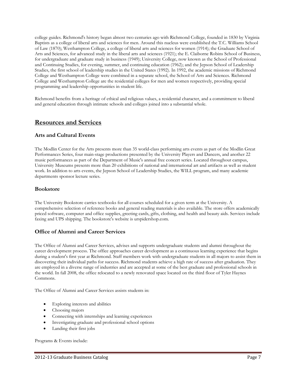college guides. Richmond's history began almost two centuries ago with Richmond College, founded in 1830 by Virginia Baptists as a college of liberal arts and sciences for men. Around this nucleus were established the T.C. Williams School of Law (1870); Westhampton College, a college of liberal arts and sciences for women (1914); the Graduate School of Arts and Sciences, for advanced study in the liberal arts and sciences (1921); the E. Claiborne Robins School of Business, for undergraduate and graduate study in business (1949); University College, now known as the School of Professional and Continuing Studies, for evening, summer, and continuing education (1962); and the Jepson School of Leadership Studies, the first school of leadership studies in the United States (1992). In 1992, the academic missions of Richmond College and Westhampton College were combined in a separate school, the School of Arts and Sciences. Richmond College and Westhampton College are the residential colleges for men and women respectively, providing special programming and leadership opportunities in student life.

Richmond benefits from a heritage of ethical and religious values, a residential character, and a commitment to liberal and general education through intimate schools and colleges joined into a substantial whole.

## **Resources and Services**

## **Arts and Cultural Events**

The Modlin Center for the Arts presents more than 35 world-class performing arts events as part of the Modlin Great Performances Series, four main-stage productions presented by the University Players and Dancers, and another 22 music performances as part of the Department of Music's annual free concert series. Located throughout campus, University Museums presents more than 20 exhibitions of national and international art and artifacts as well as student work. In addition to arts events, the Jepson School of Leadership Studies, the WILL program, and many academic departments sponsor lecture series.

## **Bookstore**

The University Bookstore carries textbooks for all courses scheduled for a given term at the University. A comprehensive selection of reference books and general reading materials is also available. The store offers academically priced software, computer and office supplies, greeting cards, gifts, clothing, and health and beauty aids. Services include faxing and UPS shipping. The bookstore's website is urspidershop.com.

## **Office of Alumni and Career Services**

The Office of Alumni and Career Services, advises and supports undergraduate students and alumni throughout the career development process. The office approaches career development as a continuous learning experience that begins during a student's first year at Richmond. Staff members work with undergraduate students in all majors to assist them in discovering their individual paths for success. Richmond students achieve a high rate of success after graduation. They are employed in a diverse range of industries and are accepted at some of the best graduate and professional schools in the world. In fall 2008, the office relocated to a newly renovated space located on the third floor of Tyler Haynes Commons.

The Office of Alumni and Career Services assists students in:

- Exploring interests and abilities
- Choosing majors
- Connecting with internships and learning experiences
- Investigating graduate and professional school options
- Landing their first jobs

Programs & Events include: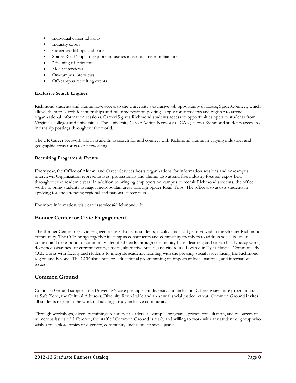- Individual career advising
- Industry expos
- Career workshops and panels
- Spider Road Trips to explore industries in various metropolitan areas
- "Evening of Etiquette"
- Mock interviews
- On-campus interviews
- Off-campus recruiting events

#### **Exclusive Search Engines**

Richmond students and alumni have access to the University's exclusive job opportunity database, SpiderConnect, which allows them to search for internships and full-time position postings, apply for interviews and register to attend organizational information sessions. Career15 gives Richmond students access to opportunities open to students from Virginia's colleges and universities. The University Career Action Network (UCAN) allows Richmond students access to internship postings throughout the world.

The UR Career Network allows students to search for and connect with Richmond alumni in varying industries and geographic areas for career networking.

#### **Recruiting Programs & Events**

Every year, the Office of Alumni and Career Services hosts organizations for information sessions and on-campus interviews. Organization representatives, professionals and alumni also attend five industry-focused expos held throughout the academic year. In addition to bringing employers on campus to recruit Richmond students, the office works to bring students to major metropolitan areas through Spider Road Trips. The office also assists students in applying for and attending regional and national career fairs.

For more information, visit careerservices@richmond.edu.

## **Bonner Center for Civic Engagement**

The Bonner Center for Civic Engagement (CCE) helps students, faculty, and staff get involved in the Greater Richmond community. The CCE brings together its campus constituents and community members to address social issues in context and to respond to community-identified needs through community-based learning and research, advocacy work, deepened awareness of current events, service, alternative breaks, and city tours. Located in Tyler Haynes Commons, the CCE works with faculty and students to integrate academic learning with the pressing social issues facing the Richmond region and beyond. The CCE also sponsors educational programming on important local, national, and international issues.

## **Common Ground**

Common Ground supports the University's core principles of diversity and inclusion. Offering signature programs such as Safe Zone, the Cultural Advisors, Diversity Roundtable and an annual social justice retreat, Common Ground invites all students to join in the work of building a truly inclusive community.

Through workshops, diversity trainings for student leaders, all-campus programs, private consultation, and resources on numerous issues of difference, the staff of Common Ground is ready and willing to work with any student or group who wishes to explore topics of diversity, community, inclusion, or social justice.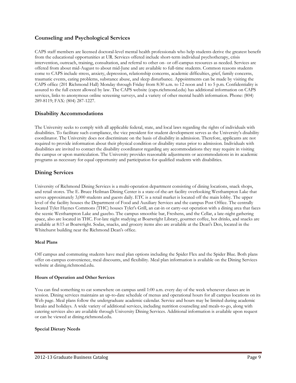## **Counseling and Psychological Services**

CAPS staff members are licensed doctoral-level mental health professionals who help students derive the greatest benefit from the educational opportunities at UR. Services offered include short-term individual psychotherapy, crisis intervention, outreach, training, consultation, and referral to other on- or off-campus resources as needed. Services are offered from about mid-August to about mid-June and are available to full-time students. Common reasons students come to CAPS include stress, anxiety, depression, relationship concerns, academic difficulties, grief, family concerns, traumatic events, eating problems, substance abuse, and sleep disturbance. Appointments can be made by visiting the CAPS office (201 Richmond Hall) Monday through Friday from 8:30 a.m. to 12 noon and 1 to 5 p.m. Confidentiality is assured to the full extent allowed by law. The CAPS website (caps.richmond.edu) has additional information on CAPS services, links to anonymous online screening surveys, and a variety of other mental health information. Phone: (804) 289-8119; FAX: (804) 287-1227.

## **Disability Accommodations**

The University seeks to comply with all applicable federal, state, and local laws regarding the rights of individuals with disabilities. To facilitate such compliance, the vice president for student development serves as the University's disability coordinator. The University does not discriminate on the basis of disability in admission. Therefore, applicants are not required to provide information about their physical condition or disability status prior to admission. Individuals with disabilities are invited to contact the disability coordinator regarding any accommodations they may require in visiting the campus or upon matriculation. The University provides reasonable adjustments or accommodations in its academic programs as necessary for equal opportunity and participation for qualified students with disabilities.

## **Dining Services**

University of Richmond Dining Services is a multi-operation department consisting of dining locations, snack shops, and retail stores. The E. Bruce Heilman Dining Center is a state-of-the-art facility overlooking Westhampton Lake that serves approximately 3,000 students and guests daily. ETC is a retail market is located off the main lobby. The upper level of the facility houses the Department of Food and Auxiliary Services and the campus Post Office. The centrally located Tyler Haynes Commons (THC) houses Tyler's Grill, an eat-in or carry-out operation with a dining area that faces the scenic Westhampton Lake and gazebo. The campus smoothie bar, Freshens, and the Cellar, a late-night gathering space, also are located in THC. For-late night studying at Boatwright Library, gourmet coffee, hot drinks, and snacks are available at 8:15 at Boatwright. Sodas, snacks, and grocery items also are available at the Dean's Den, located in the Whitehurst building near the Richmond Dean's office.

#### **Meal Plans**

Off campus and commuting students have meal plan options including the Spider Flex and the Spider Blue. Both plans offer on-campus convenience, meal discounts, and flexibility. Meal plan information is available on the Dining Services website at dining.richmond.edu.

#### **Hours of Operation and Other Services**

You can find something to eat somewhere on campus until 1:00 a.m. every day of the week whenever classes are in session. Dining services maintains an up-to-date schedule of menus and operational hours for all campus locations on its Web page. Meal plans follow the undergraduate academic calendar. Service and hours may be limited during academic breaks and holidays. A wide variety of additional services, including nutrition counseling and meals-to-go, along with catering services also are available through University Dining Services. Additional information is available upon request or can be viewed at dining.richmond.edu.

#### **Special Dietary Needs**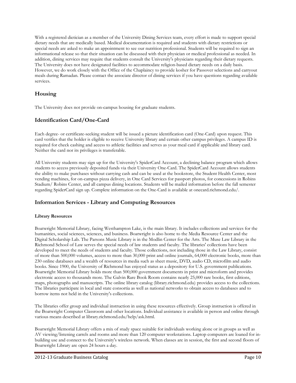With a registered dietician as a member of the University Dining Services team, every effort is made to support special dietary needs that are medically based. Medical documentation is required and students with dietary restrictions or special needs are asked to make an appointment to see our nutrition professional. Students will be required to sign an informational release so that their situation can be discussed with their physician or medical professional as needed. In addition, dining services may require that students consult the University's physicians regarding their dietary requests. The University does not have designated facilities to accommodate religion-based dietary needs on a daily basis. However, we do work closely with the Office of the Chaplaincy to provide kosher for Passover selections and carryout meals during Ramadan. Please contact the associate director of dining services if you have questions regarding available services.

## **Housing**

The University does not provide on-campus housing for graduate students.

## **Identification Card/One-Card**

Each degree- or certificate-seeking student will be issued a picture identification card (One-Card) upon request. This card verifies that the holder is eligible to receive University library and certain other campus privileges. A campus ID is required for check cashing and access to athletic facilities and serves as your meal card if applicable and library card. Neither the card nor its privileges is transferable.

All University students may sign up for the University's SpiderCard Account, a declining balance program which allows students to access previously deposited funds via their University One-Card. The SpiderCard Account allows students the ability to make purchases without carrying cash and can be used at the bookstore, the Student Health Center, most vending machines, for on-campus pizza delivery, in One Card Services for passport photos, for concessions in Robins Stadium/ Robins Center, and all campus dining locations. Students will be mailed information before the fall semester regarding SpiderCard sign up. Complete information on the One-Card is available at onecard.richmond.edu/.

## **Information Services - Library and Computing Resources**

#### **Library Resources**

Boatwright Memorial Library, facing Westhampton Lake, is the main library. It includes collections and services for the humanities, social sciences, sciences, and business. Boatwright is also home to the Media Resource Center and the Digital Scholarship Lab. The Parsons Music Library is in the Modlin Center for the Arts. The Muse Law Library in the Richmond School of Law serves the special needs of law students and faculty. The libraries' collections have been developed to meet the needs of students and faculty. Those collections, not including those in the Law Library, consist of more than 500,000 volumes, access to more than 30,000 print and online journals, 64,000 electronic books, more than 230 online databases and a wealth of resources in media such as sheet music, DVD, audio CD, microfilm and audio books. Since 1900, the University of Richmond has enjoyed status as a depository for U.S. government publications. Boatwright Memorial Library holds more than 500,000 government documents in print and microform and provides electronic access to thousands more. The Galvin Rare Book Room contains nearly 25,000 rare books, first editions, maps, photographs and manuscripts. The online library catalog (library.richmond.edu) provides access to the collections. The libraries participate in local and state consortia as well as national networks to obtain access to databases and to borrow items not held in the University's collections.

The libraries offer group and individual instruction in using these resources effectively. Group instruction is offered in the Boatwright Computer Classroom and other locations. Individual assistance is available in person and online through various means described at library.richmond.edu/help/ask.html.

Boatwright Memorial Library offers a mix of study space suitable for individuals working alone or in groups as well as AV viewing/listening carrels and rooms and more than 120 computer workstations. Laptop computers are loaned for inbuilding use and connect to the University's wireless network. When classes are in session, the first and second floors of Boatwright Library are open 24 hours a day.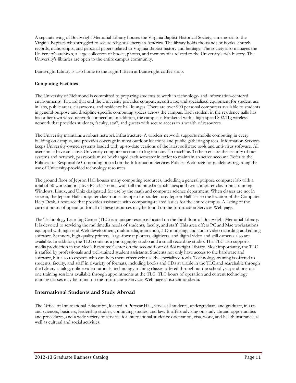A separate wing of Boatwright Memorial Library houses the Virginia Baptist Historical Society, a memorial to the Virginia Baptists who struggled to secure religious liberty in America. The library holds thousands of books, church records, manuscripts, and personal papers related to Virginia Baptist history and heritage. The society also manages the University's archives, a large collection of books, photos, and memorabilia related to the University's rich history. The University's libraries are open to the entire campus community.

Boatwright Library is also home to the Eight Fifteen at Boatwright coffee shop.

#### **Computing Facilities**

The University of Richmond is committed to preparing students to work in technology- and information-centered environments. Toward that end the University provides computers, software, and specialized equipment for student use in labs, public areas, classrooms, and residence hall lounges. There are over 900 personal computers available to students in general-purpose and discipline-specific computing spaces across the campus. Each student in the residence halls has his or her own wired network connection; in addition, the campus is blanketed with a high-speed 802.11g wireless network that provides students, faculty, staff, and guests with secure access to a wealth of resources.

The University maintains a robust network infrastructure. A wireless network supports mobile computing in every building on campus, and provides coverage in most outdoor locations and public gathering spaces. Information Services keeps University-owned systems loaded with up-to-date versions of the latest software tools and anti-virus software. All users must have an active University computer account to log into any lab machine. To help ensure the security of our systems and network, passwords must be changed each semester in order to maintain an active account. Refer to the Policies for Responsible Computing posted on the Information Services Policies Web page for guidelines regarding the use of University-provided technology resources.

The ground floor of Jepson Hall houses many computing resources, including a general purpose computer lab with a total of 30 workstations; five PC classrooms with full multimedia capabilities; and two computer classrooms running Windows, Linux, and Unix designated for use by the math and computer science department. When classes are not in session, the Jepson Hall computer classrooms are open for student use. Jepson Hall is also the location of the Computer Help Desk, a resource that provides assistance with computing-related issues for the entire campus. A listing of the current hours of operation for all of these resources may be found on the Information Services Web page.

The Technology Learning Center (TLC) is a unique resource located on the third floor of Boatwright Memorial Library. It is devoted to servicing the multimedia needs of students, faculty, and staff. This area offers PC and Mac workstations equipped with high-end Web development, multimedia, animation, 3-D modeling, and audio-video recording and editing software. Scanners, high quality printers, large-format plotters, digitizers, and digital video and still cameras also are available. In addition, the TLC contains a photography studio and a small recording studio. The TLC also supports media production in the Media Resource Center on the second floor of Boatwright Library. Most importantly, the TLC is staffed by professionals and well-trained student assistants. Students not only have access to the hardware and software, but also to experts who can help them effectively use the specialized tools. Technology training is offered to students, faculty, and staff in a variety of formats, including books and CDs available in the TLC and searchable through the Library catalog; online video tutorials; technology training classes offered throughout the school year; and one-onone training sessions available through appointments at the TLC. TLC hours of operation and current technology training classes may be found on the Information Services Web page at is.richmond.edu.

## **International Students and Study Abroad**

The Office of International Education, located in Puryear Hall, serves all students, undergraduate and graduate, in arts and sciences, business, leadership studies, continuing studies, and law. It offers advising on study abroad opportunities and procedures, and a wide variety of services for international students: orientation, visa, work, and health insurance, as well as cultural and social activities.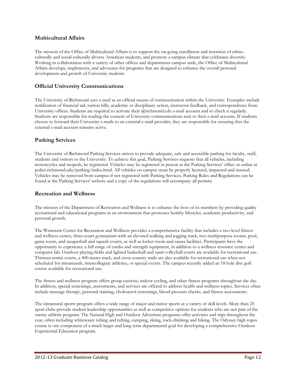## **Multicultural Affairs**

The mission of the Office of Multicultural Affairs is to support the on-going enrollment and retention of ethnoculturally and social-culturally diverse American students, and promote a campus climate that celebrates diversity. Working in collaboration with a variety of other offices and departments campus wide, the Office of Multicultural Affairs develops, implements, and advocates for programs that are designed to enhance the overall personal development and growth of University students.

## **Official University Communications**

The University of Richmond uses e-mail as an official means of communication within the University. Examples include notification of financial aid, tuition bills, academic or disciplinary action, instructor feedback, and correspondence from University offices. Students are required to activate their @richmond.edu e-mail account and to check it regularly. Students are responsible for reading the content of University communications sent to their e-mail account. If students choose to forward their University e-mails to an external e-mail provider, they are responsible for ensuring that the external e-mail account remains active.

## **Parking Services**

The University of Richmond Parking Services strives to provide adequate, safe and accessible parking for faculty, staff, students and visitors to the University. To achieve this goal, Parking Services requests that all vehicles, including motorcycles and mopeds, be registered. Vehicles may be registered in person at the Parking Services' office or online at police.richmond.edu/parking/index.html. All vehicles on campus must be properly licensed, inspected and insured. Vehicles may be removed from campus if not registered with Parking Services. Parking Rules and Regulations can be found at the Parking Services' website and a copy of the regulations will accompany all permits.

#### **Recreation and Wellness**

The mission of the Department of Recreation and Wellness is to enhance the lives of its members by providing quality recreational and educational programs in an environment that promotes healthy lifestyles, academic productivity, and personal growth.

The Weinstein Center for Recreation and Wellness provides a comprehensive facility that includes a two-level fitness and wellness center, three-court gymnasium with an elevated walking and jogging track, two multipurpose rooms, pool, game room, and racquetball and squash courts, as well as locker room and sauna facilities. Participants have the opportunity to experience a full range of cardio and strength equipment, in addition to a wellness resource center and computer lab. Outdoor playing fields and lighted basketball and sand volleyball courts are available for recreational use. Thirteen tennis courts, a 400-meter track, and cross country trails are also available for recreational use when not scheduled for intramurals, intercollegiate athletics, or special events. The campus recently added an 18 hole disc golf course available for recreational use.

The fitness and wellness program offers group exercise, indoor cycling, and other fitness programs throughout the day. In addition, special screenings, assessments, and services are offered to address health and wellness topics. Services often include massage therapy, personal training, cholesterol screenings, blood pressure checks, and fitness assessments.

The intramural sports program offers a wide range of major and minor sports at a variety of skill levels. More than 25 sport clubs provide student leadership opportunities as well as competitive options for students who are not part of the varsity athletic program. The Natural High and Outdoor Adventure programs offer activities and trips throughout the year, often including whitewater tubing and rafting, camping, skiing, rock climbing and hiking. The Odyssey high ropes course is one component of a much larger and long term departmental goal for developing a comprehensive Outdoor Experiential Education program.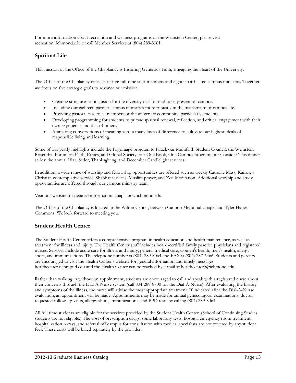For more information about recreation and wellness programs or the Weinstein Center, please visit recreation.richmond.edu or call Member Services at (804) 289-8361.

# **Spiritual Life**

This mission of the Office of the Chaplaincy is Inspiring Generous Faith; Engaging the Heart of the University.

The Office of the Chaplaincy consists of five full-time staff members and eighteen affiliated campus ministers. Together, we focus on five strategic goals to advance our mission:

- Creating structures of inclusion for the diversity of faith traditions present on campus.
- Including our eighteen partner campus ministries more robustly in the mainstream of campus life.
- Providing pastoral care to all members of the university community, particularly students.
- Developing programming for students to pursue spiritual renewal, reflection, and critical engagement with their own experience and that of others.
- Animating conversations of meaning across many lines of difference to cultivate our highest ideals of responsible living and learning.

Some of our yearly highlights include the Pilgrimage program to Israel; our Multifaith Student Council; the Weinstein-Rosenthal Forum on Faith, Ethics, and Global Society; our One Book, One Campus program; our Consider This dinner series; the annual Iftar, Seder, Thanksgiving, and December Candlelight services.

In addition, a wide range of worship and fellowship opportunities are offered such as weekly Catholic Mass; Kairos, a Christian contemplative service; Shabbat services; Muslim prayer; and Zen Meditation. Additional worship and study opportunities are offered through our campus ministry team.

Visit our website for detailed information: chaplaincy.richmond.edu.

The Office of the Chaplaincy is located in the Wilton Center, between Cannon Memorial Chapel and Tyler Hanes Commons. We look forward to meeting you.

## **Student Health Center**

The Student Health Center offers a comprehensive program in health education and health maintenance, as well as treatment for illness and injury. The Health Center staff includes board-certified family practice physicians and registered nurses. Services include acute care for illness and injury, general medical care, women's health, men's health, allergy shots, and immunizations. The telephone number is (804) 289-8064 and FAX is (804) 287-6466. Students and parents are encouraged to visit the Health Center's website for general information and timely messages: healthcenter.richmond.edu and the Health Center can be reached by e-mail at healthcenter@richmond.edu.

Rather than walking in without an appointment, students are encouraged to call and speak with a registered nurse about their concerns through the Dial-A-Nurse system (call 804-289-8700 for the Dial-A-Nurse). After evaluating the history and symptoms of the illness, the nurse will advise the most appropriate treatment. If indicated after the Dial-A-Nurse evaluation, an appointment will be made. Appointments may be made for annual gynecological examinations, doctorrequested follow-up visits, allergy shots, immunizations, and PPD tests by calling (804) 289-8064.

All full time students are eligible for the services provided by the Student Health Center. (School of Continuing Studies students are not eligible.) The cost of prescription drugs, some laboratory tests, hospital emergency room treatment, hospitalization, x-rays, and referral off campus for consultation with medical specialists are not covered by any student fees. These costs will be billed separately by the provider.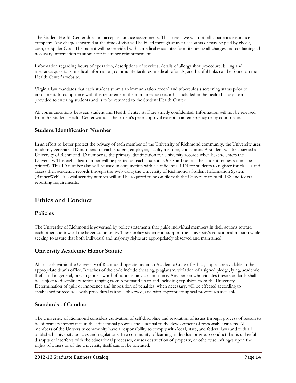The Student Health Center does not accept insurance assignments. This means we will not bill a patient's insurance company. Any charges incurred at the time of visit will be billed through student accounts or may be paid by check, cash, or Spider Card. The patient will be provided with a medical encounter form itemizing all charges and containing all necessary information to submit for insurance reimbursement.

Information regarding hours of operation, descriptions of services, details of allergy shot procedure, billing and insurance questions, medical information, community facilities, medical referrals, and helpful links can be found on the Health Center's website.

Virginia law mandates that each student submit an immunization record and tuberculosis screening status prior to enrollment. In compliance with this requirement, the immunization record is included in the health history form provided to entering students and is to be returned to the Student Health Center.

All communications between student and Health Center staff are strictly confidential. Information will not be released from the Student Health Center without the patient's prior approval except in an emergency or by court order.

## **Student Identification Number**

In an effort to better protect the privacy of each member of the University of Richmond community, the University uses randomly generated ID numbers for each student, employee, faculty member, and alumni. A student will be assigned a University of Richmond ID number as the primary identification for University records when he/she enters the University. This eight-digit number will be printed on each student's One-Card (unless the student requests it not be printed). This ID number also will be used in conjunction with a confidential PIN for students to register for classes and access their academic records through the Web using the University of Richmond's Student Information System (BannerWeb). A social security number will still be required to be on file with the University to fulfill IRS and federal reporting requirements.

# **Ethics and Conduct**

## **Policies**

The University of Richmond is governed by policy statements that guide individual members in their actions toward each other and toward the larger community. These policy statements support the University's educational mission while seeking to assure that both individual and majority rights are appropriately observed and maintained.

## **University Academic Honor Statute**

All schools within the University of Richmond operate under an Academic Code of Ethics; copies are available in the appropriate dean's office. Breaches of the code include cheating, plagiarism, violation of a signed pledge, lying, academic theft, and in general, breaking one's word of honor in any circumstance. Any person who violates these standards shall be subject to disciplinary action ranging from reprimand up to and including expulsion from the University. Determination of guilt or innocence and imposition of penalties, when necessary, will be effected according to established procedures, with procedural fairness observed, and with appropriate appeal procedures available.

## **Standards of Conduct**

The University of Richmond considers cultivation of self-discipline and resolution of issues through process of reason to be of primary importance in the educational process and essential to the development of responsible citizens. All members of the University community have a responsibility to comply with local, state, and federal laws and with all published University policies and regulations. In a community of learning, individual or group conduct that is unlawful disrupts or interferes with the educational processes, causes destruction of property, or otherwise infringes upon the rights of others or of the University itself cannot be tolerated.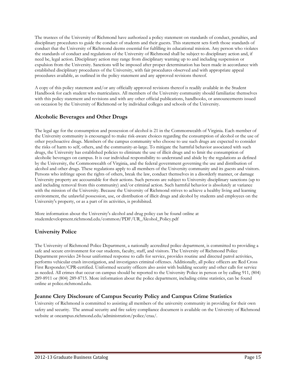The trustees of the University of Richmond have authorized a policy statement on standards of conduct, penalties, and disciplinary procedures to guide the conduct of students and their guests. This statement sets forth those standards of conduct that the University of Richmond deems essential for fulfilling its educational mission. Any person who violates the standards of conduct and regulations of the University of Richmond shall be subject to disciplinary action and, if need be, legal action. Disciplinary action may range from disciplinary warning up to and including suspension or expulsion from the University. Sanctions will be imposed after proper determination has been made in accordance with established disciplinary procedures of the University, with fair procedures observed and with appropriate appeal procedures available, as outlined in the policy statement and any approved revisions thereof.

A copy of this policy statement and/or any officially approved revisions thereof is readily available in the Student Handbook for each student who matriculates. All members of the University community should familiarize themselves with this policy statement and revisions and with any other official publications, handbooks, or announcements issued on occasion by the University of Richmond or by individual colleges and schools of the University.

## **Alcoholic Beverages and Other Drugs**

The legal age for the consumption and possession of alcohol is 21 in the Commonwealth of Virginia. Each member of the University community is encouraged to make risk-aware choices regarding the consumption of alcohol or the use of other psychoactive drugs. Members of the campus community who choose to use such drugs are expected to consider the risks of harm to self, others, and the community-at-large. To mitigate the harmful behavior associated with such drugs, the University has established policies to eliminate the use of illicit drugs and to limit the consumption of alcoholic beverages on campus. It is our individual responsibility to understand and abide by the regulations as defined by the University, the Commonwealth of Virginia, and the federal government governing the use and distribution of alcohol and other drugs. These regulations apply to all members of the University community and its guests and visitors. Persons who infringe upon the rights of others, break the law, conduct themselves in a disorderly manner, or damage University property are accountable for their actions. Such persons are subject to University disciplinary sanctions (up to and including removal from this community) and/or criminal action. Such harmful behavior is absolutely at variance with the mission of the University. Because the University of Richmond strives to achieve a healthy living and learning environment, the unlawful possession, use, or distribution of illicit drugs and alcohol by students and employees on the University's property, or as a part of its activities, is prohibited.

More information about the University's alcohol and drug policy can be found online at studentdevelopment.richmond.edu/common/PDF/UR\_Alcohol\_Policy.pdf

## **University Police**

The University of Richmond Police Department, a nationally accredited police department, is committed to providing a safe and secure environment for our students, faculty, staff, and visitors. The University of Richmond Police Department provides 24-hour uniformed response to calls for service, provides routine and directed patrol activities, performs vehicular crash investigation, and investigates criminal offenses. Additionally, all police officers are Red Cross First Responder/CPR-certified. Uniformed security officers also assist with building security and other calls for service as needed. All crimes that occur on campus should be reported to the University Police in person or by calling 911, (804) 289-8911 or (804) 289-8715. More information about the police department, including crime statistics, can be found online at police.richmond.edu.

## **Jeanne Clery Disclosure of Campus Security Policy and Campus Crime Statistics**

University of Richmond is committed to assisting all members of the university community in providing for their own safety and security. The annual security and fire safety compliance document is available on the University of Richmond website at oncampus.richmond.edu/administration/police/craa/.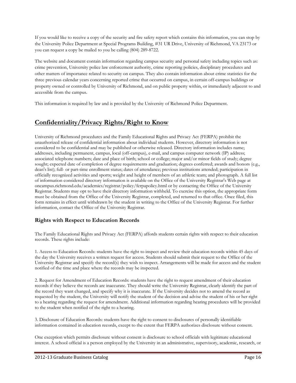If you would like to receive a copy of the security and fire safety report which contains this information, you can stop by the University Police Department at Special Programs Building, #31 UR Drive, University of Richmond, VA 23173 or you can request a copy be mailed to you be calling (804) 289-8722.

The website and document contain information regarding campus security and personal safety including topics such as: crime prevention, University police law enforcement authority, crime reporting policies, disciplinary procedures and other matters of importance related to security on campus. They also contain information about crime statistics for the three previous calendar years concerning reported crime that occurred on campus, in certain off-campus buildings or property owned or controlled by University of Richmond, and on public property within, or immediately adjacent to and accessible from the campus.

This information is required by law and is provided by the University of Richmond Police Department.

# **Confidentiality/Privacy Rights/Right to Know**

University of Richmond procedures and the Family Educational Rights and Privacy Act (FERPA) prohibit the unauthorized release of confidential information about individual students. However, directory information is not considered to be confidential and may be published or otherwise released. Directory information includes name; addresses, including permanent, campus, local (off-campus), e-mail, and campus computer network (IP) address; associated telephone numbers; date and place of birth; school or college; major and/or minor fields of study; degree sought; expected date of completion of degree requirements and graduation; degrees conferred; awards and honors (e.g., dean's list); full- or part-time enrollment status; dates of attendance; previous institutions attended; participation in officially recognized activities and sports; weight and height of members of an athletic team; and photograph. A full list of information considered directory information is available on the Office of the University Registrar's Web page at oncampus.richmond.edu/academics/registrar/policy/ferpapolicy.html or by contacting the Office of the University Registrar. Students may opt to have their directory information withheld. To exercise this option, the appropriate form must be obtained from the Office of the University Registrar, completed, and returned to that office. Once filed, this form remains in effect until withdrawn by the student in writing to the Office of the University Registrar. For further information, contact the Office of the University Registrar.

## **Rights with Respect to Education Records**

The Family Educational Rights and Privacy Act (FERPA) affords students certain rights with respect to their education records. These rights include:

1. Access to Education Records: students have the right to inspect and review their education records within 45 days of the day the University receives a written request for access. Students should submit their request to the Office of the University Registrar and specify the record(s) they wish to inspect. Arrangements will be made for access and the student notified of the time and place where the records may be inspected.

2. Request for Amendment of Education Records: students have the right to request amendment of their education records if they believe the records are inaccurate. They should write the University Registrar, clearly identify the part of the record they want changed, and specify why it is inaccurate. If the University decides not to amend the record as requested by the student, the University will notify the student of the decision and advise the student of his or her right to a hearing regarding the request for amendment. Additional information regarding hearing procedures will be provided to the student when notified of the right to a hearing.

3. Disclosure of Education Records: students have the right to consent to disclosures of personally identifiable information contained in education records, except to the extent that FERPA authorizes disclosure without consent.

One exception which permits disclosure without consent is disclosure to school officials with legitimate educational interest. A school official is a person employed by the University in an administrative, supervisory, academic, research, or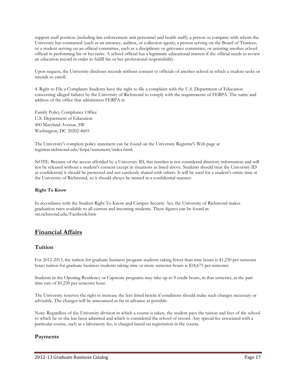support staff position (including law enforcement unit personnel and health staff); a person or company with whom the University has contracted (such as an attorney, auditor, or collection agent); a person serving on the Board of Trustees; or a student serving on an official committee, such as a disciplinary or grievance committee, or assisting another school official in performing his or her tasks. A school official has a legitimate educational interest if the official needs to review an education record in order to fulfill his or her professional responsibility.

Upon request, the University discloses records without consent to officials of another school in which a student seeks or intends to enroll.

4. Right to File a Complaint: Students have the right to file a complaint with the U.S. Department of Education concerning alleged failures by the University of Richmond to comply with the requirements of FERPA. The name and address of the office that administers FERPA is:

Family Policy Compliance Office U.S. Department of Education 400 Maryland Avenue, SW Washington, DC 20202-4605

The University's complete policy statement can be found on the University Registrar's Web page at registrar.richmond.edu/ferpa/statement/index.html.

NOTE: Because of the access afforded by a University ID, this number is not considered directory information and will not be released without a student's consent except in situations as listed above. Students should treat the University ID as confidential; it should be protected and not carelessly shared with others. It will be used for a student's entire time at the University of Richmond, so it should always be treated in a confidential manner.

#### **Right To Know**

In accordance with the Student Right To Know and Campus Security Act, the University of Richmond makes graduation rates available to all current and incoming students. These figures can be found at: oir.richmond.edu/Factbook.htm

# **Financial Affairs**

## **Tuition**

For 2012-2013, the tuition for graduate business program students taking fewer than nine hours is \$1,230 per semester hour; tuition for graduate business students taking nine or more semester hours is \$18,675 per semester.

Students in the Opening Residency or Capstone programs may take up to 9 credit hours, in that semester, at the part time rate of \$1,230 per semester hour.

The University reserves the right to increase the fees listed herein if conditions should make such changes necessary or advisable. The changes will be announced as far in advance as possible.

Note: Regardless of the University division in which a course is taken, the student pays the tuition and fees of the school to which he or she has been admitted and which is considered the school of record. Any special fee associated with a particular course, such as a laboratory fee, is charged based on registration in the course.

## **Payments**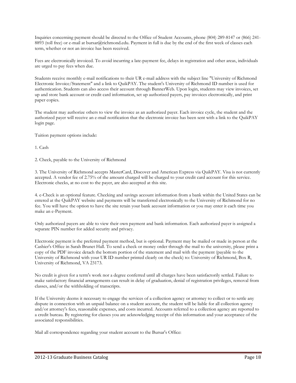Inquiries concerning payment should be directed to the Office of Student Accounts, phone (804) 289-8147 or (866) 241- 8893 (toll free) or e-mail at bursar@richmond.edu. Payment in full is due by the end of the first week of classes each term, whether or not an invoice has been received.

Fees are electronically invoiced. To avoid incurring a late-payment fee, delays in registration and other areas, individuals are urged to pay fees when due.

Students receive monthly e-mail notifications to their UR e-mail address with the subject line "University of Richmond Electronic Invoice/Statement" and a link to QuikPAY. The student's University of Richmond ID number is used for authentication. Students can also access their account through BannerWeb. Upon login, students may view invoices, set up and store bank account or credit card information, set up authorized payers, pay invoices electronically, and print paper copies.

The student may authorize others to view the invoice as an authorized payer. Each invoice cycle, the student and the authorized payer will receive an e-mail notification that the electronic invoice has been sent with a link to the QuikPAY login page.

Tuition payment options include:

1. Cash

2. Check, payable to the University of Richmond

3. The University of Richmond accepts MasterCard, Discover and American Express via QuikPAY. Visa is not currently accepted. A vendor fee of 2.75% of the amount charged will be charged to your credit card account for this service. Electronic checks, at no cost to the payer, are also accepted at this site.

4. e-Check is an optional feature. Checking and savings account information from a bank within the United States can be entered at the QuikPAY website and payments will be transferred electronically to the University of Richmond for no fee. You will have the option to have the site retain your bank account information or you may enter it each time you make an e-Payment.

Only authorized payers are able to view their own payment and bank information. Each authorized payer is assigned a separate PIN number for added security and privacy.

Electronic payment is the preferred payment method, but is optional. Payment may be mailed or made in person at the Cashier's Office in Sarah Brunet Hall. To send a check or money order through the mail to the university, please print a copy of the PDF invoice detach the bottom portion of the statement and mail with the payment (payable to the University of Richmond with your UR ID number printed clearly on the check) to: University of Richmond, Box R, University of Richmond, VA 23173.

No credit is given for a term's work nor a degree conferred until all charges have been satisfactorily settled. Failure to make satisfactory financial arrangements can result in delay of graduation, denial of registration privileges, removal from classes, and/or the withholding of transcripts.

If the University deems it necessary to engage the services of a collection agency or attorney to collect or to settle any dispute in connection with an unpaid balance on a student account, the student will be liable for all collection agency and/or attorney's fees, reasonable expenses, and costs incurred. Accounts referred to a collection agency are reported to a credit bureau. By registering for classes you are acknowledging receipt of this information and your acceptance of the associated responsibilities.

Mail all correspondence regarding your student account to the Bursar's Office: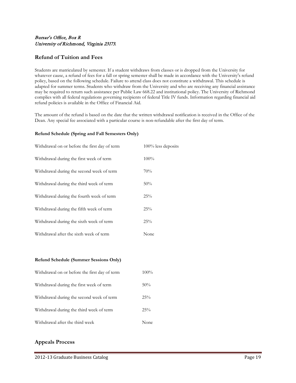## Bursar's Office, Box R University of Richmond, Virginia 23173.

## **Refund of Tuition and Fees**

Students are matriculated by semester. If a student withdraws from classes or is dropped from the University for whatever cause, a refund of fees for a fall or spring semester shall be made in accordance with the University's refund policy, based on the following schedule. Failure to attend class does not constitute a withdrawal. This schedule is adapted for summer terms. Students who withdraw from the University and who are receiving any financial assistance may be required to return such assistance per Public Law 668.22 and institutional policy. The University of Richmond complies with all federal regulations governing recipients of federal Title IV funds. Information regarding financial aid refund policies is available in the Office of Financial Aid.

The amount of the refund is based on the date that the written withdrawal notification is received in the Office of the Dean. Any special fee associated with a particular course is non-refundable after the first day of term.

#### **Refund Schedule (Spring and Fall Semesters Only)**

| Withdrawal on or before the first day of term | 100% less deposits |
|-----------------------------------------------|--------------------|
| Withdrawal during the first week of term      | $100\%$            |
| Withdrawal during the second week of term     | 70%                |
| Withdrawal during the third week of term      | 50%                |
| Withdrawal during the fourth week of term     | 25%                |
| Withdrawal during the fifth week of term      | 25%                |
| Withdrawal during the sixth week of term      | 25%                |
| Withdrawal after the sixth week of term       | None               |

#### **Refund Schedule (Summer Sessions Only)**

| Withdrawal on or before the first day of term | $100\%$ |
|-----------------------------------------------|---------|
| Withdrawal during the first week of term      | 50%     |
| Withdrawal during the second week of term     | $25\%$  |
| Withdrawal during the third week of term      | 25%     |
| Withdrawal after the third week               | None    |

## **Appeals Process**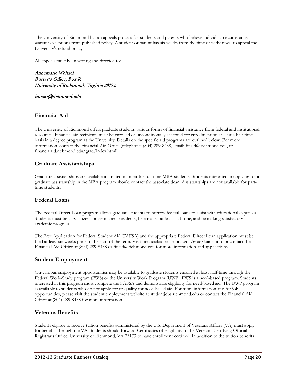The University of Richmond has an appeals process for students and parents who believe individual circumstances warrant exceptions from published policy. A student or parent has six weeks from the time of withdrawal to appeal the University's refund policy.

All appeals must be in writing and directed to:

Annemarie Weitzel Bursar's Office, Box R University of Richmond, Virginia 23173.

#### bursar@richmond.edu

## **Financial Aid**

The University of Richmond offers graduate students various forms of financial assistance from federal and institutional resources. Financial aid recipients must be enrolled or unconditionally accepted for enrollment on at least a half-time basis in a degree program at the University. Details on the specific aid programs are outlined below. For more information, contact the Financial Aid Office (telephone: (804) 289-8438, email: finaid@richmond.edu, or financialaid.richmond.edu/grad/index.html).

## **Graduate Assistantships**

Graduate assistantships are available in limited number for full-time MBA students. Students interested in applying for a graduate assistantship in the MBA program should contact the associate dean. Assistantships are not available for parttime students.

## **Federal Loans**

The Federal Direct Loan program allows graduate students to borrow federal loans to assist with educational expenses. Students must be U.S. citizens or permanent residents, be enrolled at least half-time, and be making satisfactory academic progress.

The Free Application for Federal Student Aid (FAFSA) and the appropriate Federal Direct Loan application must be filed at least six weeks prior to the start of the term. Visit financialaid.richmond.edu/grad/loans.html or contact the Financial Aid Office at (804) 289-8438 or finaid@richmond.edu for more information and applications.

## **Student Employment**

On-campus employment opportunities may be available to graduate students enrolled at least half-time through the Federal Work-Study program (FWS) or the University Work Program (UWP). FWS is a need-based program. Students interested in this program must complete the FAFSA and demonstrate eligibility for need-based aid. The UWP program is available to students who do not apply for or qualify for need-based aid. For more information and for job opportunities, please visit the student employment website at studentjobs.richmond.edu or contact the Financial Aid Office at (804) 289-8438 for more information.

## **Veterans Benefits**

Students eligible to receive tuition benefits administered by the U.S. Department of Veterans Affairs (VA) must apply for benefits through the VA. Students should forward Certificates of Eligibility to the Veterans Certifying Official, Registrar's Office, University of Richmond, VA 23173 to have enrollment certified. In addition to the tuition benefits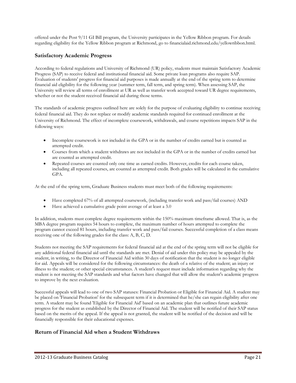offered under the Post 9/11 GI Bill program, the University participates in the Yellow Ribbon program. For details regarding eligibility for the Yellow Ribbon program at Richmond, go to financialaid.richmond.edu/yellowribbon.html.

## **Satisfactory Academic Progress**

According to federal regulations and University of Richmond (UR) policy, students must maintain Satisfactory Academic Progress (SAP) to receive federal and institutional financial aid. Some private loan programs also require SAP. Evaluation of students' progress for financial aid purposes is made annually at the end of the spring term to determine financial aid eligibility for the following year (summer term, fall term, and spring term). When assessing SAP, the University will review all terms of enrollment at UR as well as transfer work accepted toward UR degree requirements, whether or not the student received financial aid during those terms.

The standards of academic progress outlined here are solely for the purpose of evaluating eligibility to continue receiving federal financial aid. They do not replace or modify academic standards required for continued enrollment at the University of Richmond. The effect of incomplete coursework, withdrawals, and course repetitions impacts SAP in the following ways:

- Incomplete coursework is not included in the GPA or in the number of credits earned but is counted as attempted credit.
- Courses from which a student withdraws are not included in the GPA or in the number of credits earned but are counted as attempted credit.
- Repeated courses are counted only one time as earned credits. However, credits for each course taken, including all repeated courses, are counted as attempted credit. Both grades will be calculated in the cumulative GPA.

At the end of the spring term, Graduate Business students must meet both of the following requirements:

- Have completed 67% of all attempted coursework, (including transfer work and pass/fail courses) AND
- Have achieved a cumulative grade point average of at least a 3.0

In addition, students must complete degree requirements within the 150% maximum timeframe allowed. That is, as the MBA degree program requires 54 hours to complete, the maximum number of hours attempted to complete the program cannot exceed 81 hours, including transfer work and pass/fail courses. Successful completion of a class means receiving one of the following grades for the class: A, B, C, D.

Students not meeting the SAP requirements for federal financial aid at the end of the spring term will not be eligible for any additional federal financial aid until the standards are met. Denial of aid under this policy may be appealed by the student, in writing, to the Director of Financial Aid within 30 days of notification that the student is no longer eligible for aid. Appeals will be considered for the following circumstances: the death of a relative of the student; an injury or illness to the student; or other special circumstances. A student's request must include information regarding why the student is not meeting the SAP standards and what factors have changed that will allow the student's academic progress to improve by the next evaluation.

Successful appeals will lead to one of two SAP statuses: Financial Probation or Eligible for Financial Aid. A student may be placed on 'Financial Probation' for the subsequent term if it is determined that he/she can regain eligibility after one term. A student may be found 'Eligible for Financial Aid' based on an academic plan that outlines future academic progress for the student as established by the Director of Financial Aid. The student will be notified of their SAP status based on the merits of the appeal. If the appeal is not granted, the student will be notified of the decision and will be financially responsible for their educational expenses.

## **Return of Financial Aid when a Student Withdraws**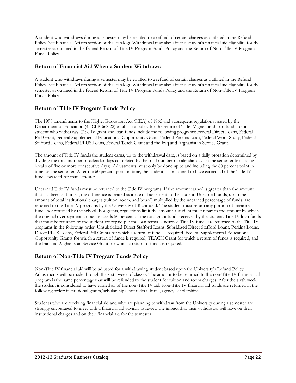A student who withdraws during a semester may be entitled to a refund of certain charges as outlined in the Refund Policy (see Financial Affairs section of this catalog). Withdrawal may also affect a student's financial aid eligibility for the semester as outlined in the federal Return of Title IV Program Funds Policy and the Return of Non-Title IV Program Funds Policy.

## **Return of Financial Aid When a Student Withdraws**

A student who withdraws during a semester may be entitled to a refund of certain charges as outlined in the Refund Policy (see Financial Affairs section of this catalog). Withdrawal may also affect a student's financial aid eligibility for the semester as outlined in the federal Return of Title IV Program Funds Policy and the Return of Non-Title IV Program Funds Policy.

## **Return of Title IV Program Funds Policy**

The 1998 amendments to the Higher Education Act (HEA) of 1965 and subsequent regulations issued by the Department of Education (43 CFR 668.22) establish a policy for the return of Title IV grant and loan funds for a student who withdraws. Title IV grant and loan funds include the following programs: Federal Direct Loans, Federal Pell Grant, Federal Supplemental Educational Opportunity Grant, Federal Perkins Loan, Federal Work-Study, Federal Stafford Loans, Federal PLUS Loans, Federal Teach Grant and the Iraq and Afghanistan Service Grant.

The amount of Title IV funds the student earns, up to the withdrawal date, is based on a daily proration determined by dividing the total number of calendar days completed by the total number of calendar days in the semester (excluding breaks of five or more consecutive days). Adjustments must only be done up to and including the 60 percent point in time for the semester. After the 60 percent point in time, the student is considered to have earned all of the Title IV funds awarded for that semester.

Unearned Title IV funds must be returned to the Title IV programs. If the amount earned is greater than the amount that has been disbursed, the difference is treated as a late disbursement to the student. Unearned funds, up to the amount of total institutional charges (tuition, room, and board) multiplied by the unearned percentage of funds, are returned to the Title IV programs by the University of Richmond. The student must return any portion of unearned funds not returned by the school. For grants, regulations limit the amount a student must repay to the amount by which the original overpayment amount exceeds 50 percent of the total grant funds received by the student. Title IV loan funds that must be returned by the student are repaid per the loan terms. Unearned Title IV funds are returned to the Title IV programs in the following order: Unsubsidized Direct Stafford Loans, Subsidized Direct Stafford Loans, Perkins Loans, Direct PLUS Loans, Federal Pell Grants for which a return of funds is required, Federal Supplemental Educational Opportunity Grants for which a return of funds is required, TEACH Grant for which a return of funds is required, and the Iraq and Afghanistan Service Grant for which a return of funds is required.

## **Return of Non-Title IV Program Funds Policy**

Non-Title IV financial aid will be adjusted for a withdrawing student based upon the University's Refund Policy. Adjustments will be made through the sixth week of classes. The amount to be returned to the non-Title IV financial aid program is the same percentage that will be refunded to the student for tuition and room charges. After the sixth week, the student is considered to have earned all of the non-Title IV aid. Non-Title IV financial aid funds are returned in the following order: institutional grants/scholarships, nonfederal loans, agency scholarships.

Students who are receiving financial aid and who are planning to withdraw from the University during a semester are strongly encouraged to meet with a financial aid advisor to review the impact that their withdrawal will have on their institutional charges and on their financial aid for the semester.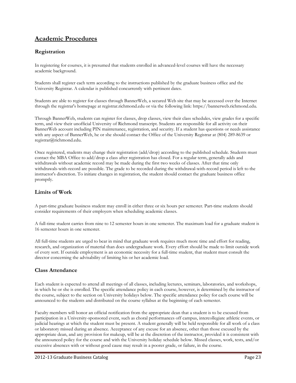# **Academic Procedures**

## **Registration**

In registering for courses, it is presumed that students enrolled in advanced-level courses will have the necessary academic background.

Students shall register each term according to the instructions published by the graduate business office and the University Registrar. A calendar is published concurrently with pertinent dates.

Students are able to register for classes through BannerWeb, a secured Web site that may be accessed over the Internet through the registrar's homepage at registrar.richmond.edu or via the following link: https://bannerweb.richmond.edu.

Through BannerWeb, students can register for classes, drop classes, view their class schedules, view grades for a specific term, and view their unofficial University of Richmond transcript. Students are responsible for all activity on their BannerWeb account including PIN maintenance, registration, and security. If a student has questions or needs assistance with any aspect of BannerWeb, he or she should contact the Office of the University Registrar at (804) 289-8639 or registrar@richmond.edu.

Once registered, students may change their registration (add/drop) according to the published schedule. Students must contact the MBA Office to add/drop a class after registration has closed. For a regular term, generally adds and withdrawals without academic record may be made during the first two weeks of classes. After that time only withdrawals-with-record are possible. The grade to be recorded during the withdrawal-with-record period is left to the instructor's discretion. To initiate changes in registration, the student should contact the graduate business office promptly.

## **Limits of Work**

A part-time graduate business student may enroll in either three or six hours per semester. Part-time students should consider requirements of their employers when scheduling academic classes.

A full-time student carries from nine to 12 semester hours in one semester. The maximum load for a graduate student is 16 semester hours in one semester.

All full-time students are urged to bear in mind that graduate work requires much more time and effort for reading, research, and organization of material than does undergraduate work. Every effort should be made to limit outside work of every sort. If outside employment is an economic necessity for a full-time student, that student must consult the director concerning the advisability of limiting his or her academic load.

## **Class Attendance**

Each student is expected to attend all meetings of all classes, including lectures, seminars, laboratories, and workshops, in which he or she is enrolled. The specific attendance policy in each course, however, is determined by the instructor of the course, subject to the section on University holidays below. The specific attendance policy for each course will be announced to the students and distributed on the course syllabus at the beginning of each semester.

Faculty members will honor an official notification from the appropriate dean that a student is to be excused from participation in a University-sponsored event, such as choral performances off campus, intercollegiate athletic events, or judicial hearings at which the student must be present. A student generally will be held responsible for all work of a class or laboratory missed during an absence. Acceptance of any excuse for an absence, other than those excused by the appropriate dean, and any provision for makeup, will be at the discretion of the instructor, provided it is consistent with the announced policy for the course and with the University holiday schedule below. Missed classes, work, tests, and/or excessive absences with or without good cause may result in a poorer grade, or failure, in the course.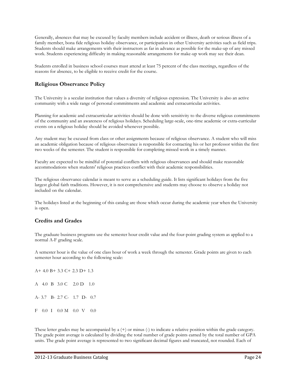Generally, absences that may be excused by faculty members include accident or illness, death or serious illness of a family member, bona fide religious holiday observance, or participation in other University activities such as field trips. Students should make arrangements with their instructors as far in advance as possible for the make-up of any missed work. Students experiencing difficulty in making reasonable arrangements for make-up work may see their dean.

Students enrolled in business school courses must attend at least 75 percent of the class meetings, regardless of the reasons for absence, to be eligible to receive credit for the course.

## **Religious Observance Policy**

The University is a secular institution that values a diversity of religious expression. The University is also an active community with a wide range of personal commitments and academic and extracurricular activities.

Planning for academic and extracurricular activities should be done with sensitivity to the diverse religious commitments of the community and an awareness of religious holidays. Scheduling large-scale, one-time academic or extra-curricular events on a religious holiday should be avoided whenever possible.

Any student may be excused from class or other assignments because of religious observance. A student who will miss an academic obligation because of religious observance is responsible for contacting his or her professor within the first two weeks of the semester. The student is responsible for completing missed work in a timely manner.

Faculty are expected to be mindful of potential conflicts with religious observances and should make reasonable accommodations when students' religious practices conflict with their academic responsibilities.

The religious observance calendar is meant to serve as a scheduling guide. It lists significant holidays from the five largest global faith traditions. However, it is not comprehensive and students may choose to observe a holiday not included on the calendar.

The holidays listed at the beginning of this catalog are those which occur during the academic year when the University is open.

## **Credits and Grades**

The graduate business programs use the semester hour credit value and the four-point grading system as applied to a normal A-F grading scale.

A semester hour is the value of one class hour of work a week through the semester. Grade points are given to each semester hour according to the following scale:

A+ 4.0 B+ 3.3 C+ 2.3 D+ 1.3 A 4.0 B 3.0 C 2.0 D 1.0 A- 3.7 B- 2.7 C- 1.7 D- 0.7 F 0.0 I 0.0 M 0.0 V 0.0

These letter grades may be accompanied by a (+) or minus (-) to indicate a relative position within the grade category. The grade point average is calculated by dividing the total number of grade points earned by the total number of GPA units. The grade point average is represented to two significant decimal figures and truncated, not rounded. Each of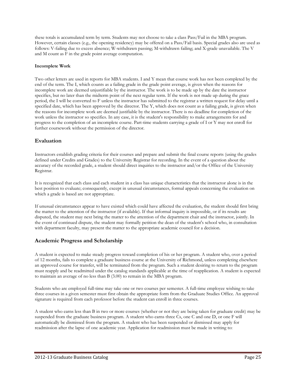these totals is accumulated term by term. Students may not choose to take a class Pass/Fail in the MBA program. However, certain classes (e.g., the opening residency) may be offered on a Pass/Fail basis. Special grades also are used as follows: V-failing due to excess absence; W-withdrawn passing; M-withdrawn failing; and X-grade unavailable. The V and M count as F in the grade point average computation.

#### **Incomplete Work**

Two other letters are used in reports for MBA students. I and Y mean that course work has not been completed by the end of the term. The I, which counts as a failing grade in the grade point average, is given when the reasons for incomplete work are deemed unjustifiable by the instructor. The work is to be made up by the date the instructor specifies, but no later than the midterm point of the next regular term. If the work is not made up during the grace period, the I will be converted to F unless the instructor has submitted to the registrar a written request for delay until a specified date, which has been approved by the director. The Y, which does not count as a failing grade, is given when the reasons for incomplete work are deemed justifiable by the instructor. There is no deadline for completion of the work unless the instructor so specifies. In any case, it is the student's responsibility to make arrangements for and progress to the completion of an incomplete course. Part-time students carrying a grade of I or Y may not enroll for further coursework without the permission of the director.

## **Evaluation**

Instructors establish grading criteria for their courses and prepare and submit the final course reports (using the grades defined under Credits and Grades) to the University Registrar for recording. In the event of a question about the accuracy of the recorded grade, a student should direct inquiries to the instructor and/or the Office of the University Registrar.

It is recognized that each class and each student in a class has unique characteristics that the instructor alone is in the best position to evaluate; consequently, except in unusual circumstances, formal appeals concerning the evaluation on which a grade is based are not appropriate.

If unusual circumstances appear to have existed which could have affected the evaluation, the student should first bring the matter to the attention of the instructor (if available). If that informal inquiry is impossible, or if its results are disputed, the student may next bring the matter to the attention of the department chair and the instructor, jointly. In the event of continued dispute, the student may formally petition the dean of the student's school who, in consultation with department faculty, may present the matter to the appropriate academic council for a decision.

## **Academic Progress and Scholarship**

A student is expected to make steady progress toward completion of his or her program. A student who, over a period of 12 months, fails to complete a graduate business course at the University of Richmond, unless completing elsewhere an approved course for transfer, will be terminated from the program. Such a student desiring to return to the program must reapply and be readmitted under the catalog standards applicable at the time of reapplication. A student is expected to maintain an average of no less than B (3.00) to remain in the MBA program.

Students who are employed full-time may take one or two courses per semester. A full-time employee wishing to take three courses in a given semester must first obtain the appropriate form from the Graduate Studies Office. An approval signature is required from each professor before the student can enroll in three courses.

A student who earns less than B in two or more courses (whether or not they are being taken for graduate credit) may be suspended from the graduate business program. A student who earns three Cs, one C and one D, or one F will automatically be dismissed from the program. A student who has been suspended or dismissed may apply for readmission after the lapse of one academic year. Application for readmission must be made in writing to: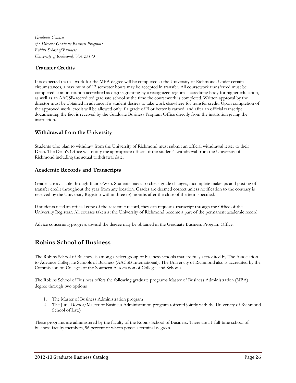*Graduate Council c/o Director Graduate Business Programs Robins School of Business University of Richmond, VA 23173*

## **Transfer Credits**

It is expected that all work for the MBA degree will be completed at the University of Richmond. Under certain circumstances, a maximum of 12 semester hours may be accepted in transfer. All coursework transferred must be completed at an institution accredited as degree granting by a recognized regional accrediting body for higher education, as well as an AACSB-accredited graduate school at the time the coursework is completed. Written approval by the director must be obtained in advance if a student desires to take work elsewhere for transfer credit. Upon completion of the approved work, credit will be allowed only if a grade of B or better is earned, and after an official transcript documenting the fact is received by the Graduate Business Program Office directly from the institution giving the instruction.

## **Withdrawal from the University**

Students who plan to withdraw from the University of Richmond must submit an official withdrawal letter to their Dean. The Dean's Office will notify the appropriate offices of the student's withdrawal from the University of Richmond including the actual withdrawal date.

## **Academic Records and Transcripts**

Grades are available through BannerWeb. Students may also check grade changes, incomplete makeups and posting of transfer credit throughout the year from any location. Grades are deemed correct unless notification to the contrary is received by the University Registrar within three (3) months after the close of the term specified.

If students need an official copy of the academic record, they can request a transcript through the Office of the University Registrar. All courses taken at the University of Richmond become a part of the permanent academic record.

Advice concerning progress toward the degree may be obtained in the Graduate Business Program Office.

## **Robins School of Business**

The Robins School of Business is among a select group of business schools that are fully accredited by The Association to Advance Collegiate Schools of Business (AACSB International). The University of Richmond also is accredited by the Commission on Colleges of the Southern Association of Colleges and Schools.

The Robins School of Business offers the following graduate programs Master of Business Administration (MBA) degree through two options

- 1. The Master of Business Administration program
- 2. The Juris Doctor/Master of Business Administration program (offered jointly with the University of Richmond School of Law)

These programs are administered by the faculty of the Robins School of Business. There are 51 full-time school of business faculty members, 96 percent of whom possess terminal degrees.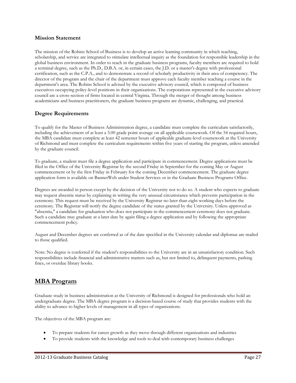## **Mission Statement**

The mission of the Robins School of Business is to develop an active learning community in which teaching, scholarship, and service are integrated to stimulate intellectual inquiry as the foundation for responsible leadership in the global business environment. In order to teach in the graduate business programs, faculty members are required to hold a terminal degree, such as the Ph.D., D.B.A. or, in certain cases, the J.D. or a master's degree with professional certification, such as the C.P.A., and to demonstrate a record of scholarly productivity in their area of competency. The director of the program and the chair of the department must approve each faculty member teaching a course in the department's area. The Robins School is advised by the executive advisory council, which is composed of business executives occupying policy-level positions in their organizations. The corporations represented in the executive advisory council are a cross-section of firms located in central Virginia. Through the merger of thought among business academicians and business practitioners, the graduate business programs are dynamic, challenging, and practical.

## **Degree Requirements**

To qualify for the Master of Business Administration degree, a candidate must complete the curriculum satisfactorily, including the achievement of at least a 3.00 grade point average on all applicable coursework. Of the 54 required hours, the MBA candidate must complete at least 42 semester hours of applicable graduate-level coursework at the University of Richmond and must complete the curriculum requirements within five years of starting the program, unless amended by the graduate council.

To graduate, a student must file a degree application and participate in commencement. Degree applications must be filed in the Office of the University Registrar by the second Friday in September for the coming May or August commencement or by the first Friday in February for the coming December commencement. The graduate degree application form is available on BannerWeb under Student Services or in the Graduate Business Programs Office.

Degrees are awarded in person except by the decision of the University not to do so. A student who expects to graduate may request absentia status by explaining in writing the very unusual circumstance which prevents participation in the ceremony. This request must be received by the University Registrar no later than eight working days before the ceremony. The Registrar will notify the degree candidate of the status granted by the University. Unless approved as "absentia," a candidate for graduation who does not participate in the commencement ceremony does not graduate. Such a candidate may graduate at a later date by again filing a degree application and by following the appropriate commencement policy.

August and December degrees are conferred as of the date specified in the University calendar and diplomas are mailed to those qualified.

Note: No degree is conferred if the student's responsibilities to the University are in an unsatisfactory condition. Such responsibilities include financial and administrative matters such as, but not limited to, delinquent payments, parking fines, or overdue library books.

# **MBA Program**

Graduate study in business administration at the University of Richmond is designed for professionals who hold an undergraduate degree. The MBA degree program is a decision-based course of study that provides students with the ability to advance to higher levels of management in all types of organizations.

The objectives of the MBA program are:

- To prepare students for career growth as they move through different organizations and industries
- To provide students with the knowledge and tools to deal with contemporary business challenges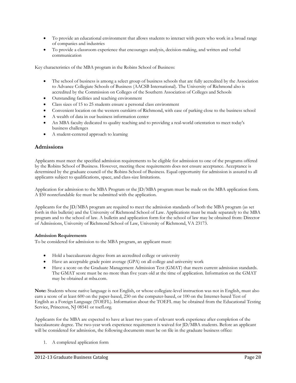- To provide an educational environment that allows students to interact with peers who work in a broad range of companies and industries
- To provide a classroom experience that encourages analysis, decision-making, and written and verbal communication

Key characteristics of the MBA program in the Robins School of Business:

- The school of business is among a select group of business schools that are fully accredited by the Association to Advance Collegiate Schools of Business (AACSB International). The University of Richmond also is accredited by the Commission on Colleges of the Southern Association of Colleges and Schools
- Outstanding facilities and teaching environment
- Class sizes of 15 to 25 students ensure a personal class environment
- Convenient location on the western outskirts of Richmond, with ease of parking close to the business school
- A wealth of data in our business information center
- An MBA faculty dedicated to quality teaching and to providing a real-world orientation to meet today's business challenges
- A student-centered approach to learning

## **Admissions**

Applicants must meet the specified admission requirements to be eligible for admission to one of the programs offered by the Robins School of Business. However, meeting these requirements does not ensure acceptance. Acceptance is determined by the graduate council of the Robins School of Business. Equal opportunity for admission is assured to all applicants subject to qualifications, space, and class-size limitations.

Application for admission to the MBA Program or the JD/MBA program must be made on the MBA application form. A \$50 nonrefundable fee must be submitted with the application.

Applicants for the JD/MBA program are required to meet the admission standards of both the MBA program (as set forth in this bulletin) and the University of Richmond School of Law. Applications must be made separately to the MBA program and to the school of law. A bulletin and application form for the school of law may be obtained from: Director of Admissions, University of Richmond School of Law, University of Richmond, VA 23173.

#### **Admission Requirements**

To be considered for admission to the MBA program, an applicant must:

- Hold a baccalaureate degree from an accredited college or university
- Have an acceptable grade point average (GPA) on all college and university work
- Have a score on the Graduate Management Admission Test (GMAT) that meets current admission standards. The GMAT score must be no more than five years old at the time of application. Information on the GMAT may be obtained at mba.com.

**Note:** Students whose native language is not English, or whose collegiate-level instruction was not in English, must also earn a score of at least 600 on the paper-based, 250 on the computer-based, or 100 on the Internet-based Test of English as a Foreign Language (TOEFL). Information about the TOEFL may be obtained from the Educational Testing Service, Princeton, NJ 08541 or toefl.org.

Applicants for the MBA are expected to have at least two years of relevant work experience after completion of the baccalaureate degree. The two-year work experience requirement is waived for JD/MBA students. Before an applicant will be considered for admission, the following documents must be on file in the graduate business office:

1. A completed application form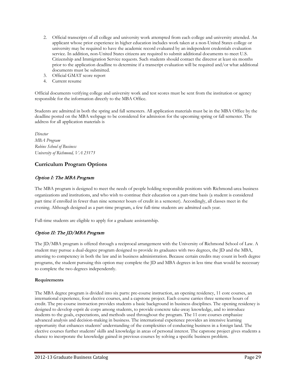- 2. Official transcripts of all college and university work attempted from each college and university attended. An applicant whose prior experience in higher education includes work taken at a non-United States college or university may be required to have the academic record evaluated by an independent credentials evaluation service. In addition, non-United States citizens are required to submit additional documents to meet U.S. Citizenship and Immigration Service requests. Such students should contact the director at least six months prior to the application deadline to determine if a transcript evaluation will be required and/or what additional documents must be submitted.
- 3. Official GMAT score report
- 4. Current resume

Official documents verifying college and university work and test scores must be sent from the institution or agency responsible for the information directly to the MBA Office.

Students are admitted in both the spring and fall semesters. All application materials must be in the MBA Office by the deadline posted on the MBA webpage to be considered for admission for the upcoming spring or fall semester. The address for all application materials is

*Director MBA Program Robins School of Business University of Richmond, VA 23173*

## **Curriculum Program Options**

## Option I: The MBA Program

The MBA program is designed to meet the needs of people holding responsible positions with Richmond-area business organizations and institutions, and who wish to continue their education on a part-time basis (a student is considered part time if enrolled in fewer than nine semester hours of credit in a semester). Accordingly, all classes meet in the evening. Although designed as a part-time program, a few full-time students are admitted each year.

Full-time students are eligible to apply for a graduate assistantship.

## Option II: The JD/MBA Program

The JD/MBA program is offered through a reciprocal arrangement with the University of Richmond School of Law. A student may pursue a dual-degree program designed to provide its graduates with two degrees, the JD and the MBA, attesting to competency in both the law and in business administration. Because certain credits may count in both degree programs, the student pursuing this option may complete the JD and MBA degrees in less time than would be necessary to complete the two degrees independently.

#### **Requirements**

The MBA degree program is divided into six parts: pre-course instruction, an opening residency, 11 core courses, an international experience, four elective courses, and a capstone project. Each course carries three semester hours of credit. The pre-course instruction provides students a basic background in business disciplines. The opening residency is designed to develop esprit de corps among students, to provide concrete take-away knowledge, and to introduce students to the goals, expectations, and methods used throughout the program. The 11 core courses emphasize advanced analysis and decision-making in business. The international experience provides an intensive learning opportunity that enhances students' understanding of the complexities of conducting business in a foreign land. The elective courses further students' skills and knowledge in areas of personal interest. The capstone project gives students a chance to incorporate the knowledge gained in previous courses by solving a specific business problem.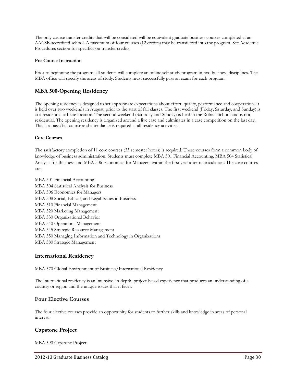The only course transfer credits that will be considered will be equivalent graduate business courses completed at an AACSB-accredited school. A maximum of four courses (12 credits) may be transferred into the program. See Academic Procedures section for specifics on transfer credits.

#### **Pre-Course Instruction**

Prior to beginning the program, all students will complete an online,self-study program in two business disciplines. The MBA office will specify the areas of study. Students must successfully pass an exam for each program.

## **MBA 500-Opening Residency**

The opening residency is designed to set appropriate expectations about effort, quality, performance and cooperation. It is held over two weekends in August, prior to the start of fall classes. The first weekend (Friday, Saturday, and Sunday) is at a residential off-site location. The second weekend (Saturday and Sunday) is held in the Robins School and is not residential. The opening residency is organized around a live case and culminates in a case competition on the last day. This is a pass/fail course and attendance is required at all residency activities.

#### **Core Courses**

The satisfactory completion of 11 core courses (33 semester hours) is required. These courses form a common body of knowledge of business administration. Students must complete MBA 501 Financial Accounting, MBA 504 Statistical Analysis for Business and MBA 506 Economics for Managers within the first year after matriculation. The core courses are:

MBA 501 Financial Accounting MBA 504 Statistical Analysis for Business MBA 506 Economics for Managers MBA 508 Social, Ethical, and Legal Issues in Business MBA 510 Financial Management MBA 520 Marketing Management MBA 530 Organizational Behavior MBA 540 Operations Management MBA 545 Strategic Resource Management MBA 550 Managing Information and Technology in Organizations MBA 580 Strategic Management

## **International Residency**

MBA 570 Global Environment of Business/International Residency

The international residency is an intensive, in-depth, project-based experience that produces an understanding of a country or region and the unique issues that it faces.

## **Four Elective Courses**

The four elective courses provide an opportunity for students to further skills and knowledge in areas of personal interest.

## **Capstone Project**

MBA 590 Capstone Project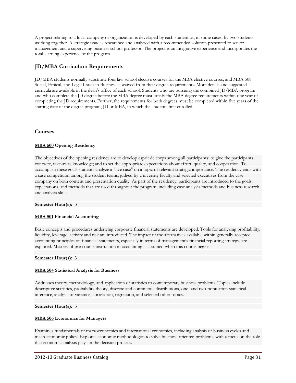A project relating to a local company or organization is developed by each student or, in some cases, by two students working together. A strategic issue is researched and analyzed with a recommended solution presented to senior management and a supervising business school professor. The project is an integrative experience and incorporates the total learning experience of the program.

## **JD/MBA Curriculum Requirements**

JD/MBA students normally substitute four law school elective courses for the MBA elective courses, and MBA 508 Social, Ethical, and Legal Issues in Business is waived from their degree requirements. More details and suggested curricula are available in the dean's office of each school. Students who are pursuing the combined JD/MBA program and who complete the JD degree before the MBA degree must satisfy the MBA degree requirements within one year of completing the JD requirements. Further, the requirements for both degrees must be completed within five years of the starting date of the degree program, JD or MBA, in which the students first enrolled.

## **Courses**

#### **[MBA 500](javascript:;) Opening Residency**

The objectives of the opening residency are to develop esprit de corps among all participants; to give the participants concrete, take-away knowledge; and to set the appropriate expectations about effort, quality, and cooperation. To accomplish these goals students analyze a "live case" on a topic of relevant strategic importance. The residency ends with a case competition among the student teams, judged by University faculty and selected executives from the case company on both content and presentation quality. As part of the residency, participants are introduced to the goals, expectations, and methods that are used throughout the program, including case analysis methods and business research and analysis skills

#### **Semester Hour(s):** 3

#### **[MBA 501](javascript:;) Financial Accounting**

Basic concepts and procedures underlying corporate financial statements are developed. Tools for analyzing profitability, liquidity, leverage, activity and risk are introduced. The impact of the alternatives available within generally accepted accounting principles on financial statements, especially in terms of management's financial reporting strategy, are explored. Mastery of pre-course instruction in accounting is assumed when this course begins.

#### **Semester Hour(s):** 3

#### **[MBA 504](javascript:;) Statistical Analysis for Business**

Addresses theory, methodology, and application of statistics to contemporary business problems. Topics include descriptive statistics, probability theory, discrete and continuous distributions, one- and two-population statistical inference, analysis of variance, correlation, regression, and selected other topics.

#### **Semester Hour(s):** 3

#### **[MBA 506](javascript:;) Economics for Managers**

Examines fundamentals of macroeconomics and international economics, including analysis of business cycles and macroeconomic policy. Explores economic methodologies to solve business-oriented problems, with a focus on the role that economic analysis plays in the decision process.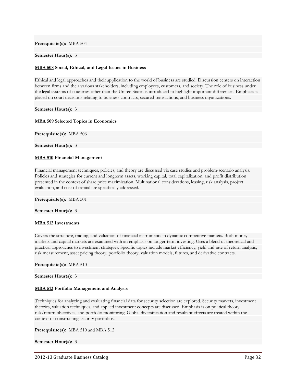**Prerequisite(s):** MBA 504

#### **Semester Hour(s):** 3

#### **[MBA 508](javascript:;) Social, Ethical, and Legal Issues in Business**

Ethical and legal approaches and their application to the world of business are studied. Discussion centers on interaction between firms and their various stakeholders, including employees, customers, and society. The role of business under the legal systems of countries other than the United States is introduced to highlight important differences. Emphasis is placed on court decisions relating to business contracts, secured transactions, and business organizations.

**Semester Hour(s):** 3

#### **[MBA 509](javascript:;) Selected Topics in Economics**

**Prerequisite(s):** MBA 506

**Semester Hour(s):** 3

#### **[MBA 510](javascript:;) Financial Management**

Financial management techniques, policies, and theory are discussed via case studies and problem-scenario analysis. Policies and strategies for current and longterm assets, working capital, total capitalization, and profit distribution presented in the context of share price maximization. Multinational considerations, leasing, risk analysis, project evaluation, and cost of capital are specifically addressed.

**Prerequisite(s):** MBA 501

#### **Semester Hour(s):** 3

#### **[MBA 512](javascript:;) Investments**

Covers the structure, trading, and valuation of financial instruments in dynamic competitive markets. Both money markets and capital markets are examined with an emphasis on longer-term investing. Uses a blend of theoretical and practical approaches to investment strategies. Specific topics include market efficiency, yield and rate of return analysis, risk measurement, asset pricing theory, portfolio theory, valuation models, futures, and derivative contracts.

**Prerequisite(s):** MBA 510

#### **Semester Hour(s):** 3

#### **[MBA 513](javascript:;) Portfolio Management and Analysis**

Techniques for analyzing and evaluating financial data for security selection are explored. Security markets, investment theories, valuation techniques, and applied investment concepts are discussed. Emphasis is on political theory, risk/return objectives, and portfolio monitoring. Global diversification and resultant effects are treated within the context of constructing security portfolios.

**Prerequisite(s):** MBA 510 and MBA 512

#### **Semester Hour(s):** 3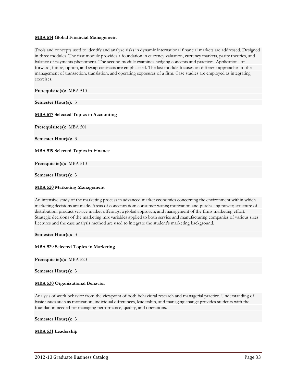#### **[MBA 514](javascript:;) Global Financial Management**

Tools and concepts used to identify and analyze risks in dynamic international financial markets are addressed. Designed in three modules. The first module provides a foundation in currency valuation, currency markets, parity theories, and balance of payments phenomena. The second module examines hedging concepts and practices. Applications of forward, future, option, and swap contracts are emphasized. The last module focuses on different approaches to the management of transaction, translation, and operating exposures of a firm. Case studies are employed as integrating exercises.

**Prerequisite(s):** MBA 510

**Semester Hour(s):** 3

#### **[MBA 517](javascript:;) Selected Topics in Accounting**

**Prerequisite(s):** MBA 501

**Semester Hour(s):** 3

**[MBA](javascript:;) 519 Selected Topics in Finance**

**Prerequisite(s):** MBA 510

**Semester Hour(s):** 3

#### **[MBA 520](javascript:;) Marketing Management**

An intensive study of the marketing process in advanced market economies concerning the environment within which marketing decisions are made. Areas of concentration: consumer wants; motivation and purchasing power; structure of distribution; product service market offerings; a global approach; and management of the firms marketing effort. Strategic decisions of the marketing mix variables applied to both service and manufacturing companies of various sizes. Lectures and the case analysis method are used to integrate the student's marketing background.

**Semester Hour(s):** 3

#### **[MBA 529](javascript:;) Selected Topics in Marketing**

**Prerequisite(s):** MBA 520

**Semester Hour(s):** 3

#### **[MBA 530](javascript:;) Organizational Behavior**

Analysis of work behavior from the viewpoint of both behavioral research and managerial practice. Understanding of basic issues such as motivation, individual differences, leadership, and managing change provides students with the foundation needed for managing performance, quality, and operations.

**Semester Hour(s):** 3

**[MBA 531](javascript:;) Leadership**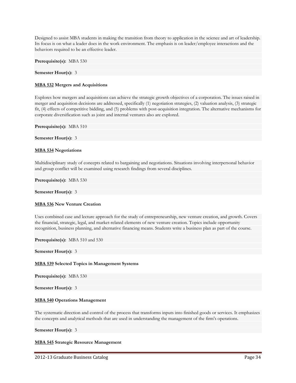Designed to assist MBA students in making the transition from theory to application in the science and art of leadership. Its focus is on what a leader does in the work environment. The emphasis is on leader/employee interactions and the behaviors required to be an effective leader.

**Prerequisite(s):** MBA 530

**Semester Hour(s):** 3

#### **[MBA 532](javascript:;) Mergers and Acquisitions**

Explores how mergers and acquisitions can achieve the strategic growth objectives of a corporation. The issues raised in merger and acquisition decisions are addressed, specifically (1) negotiation strategies, (2) valuation analysis, (3) strategic fit, (4) effects of competitive bidding, and (5) problems with post-acquisition integration. The alternative mechanisms for corporate diversification such as joint and internal ventures also are explored.

**Prerequisite(s):** MBA 510

**Semester Hour(s):** 3

#### **[MBA 534](javascript:;) Negotiations**

Multidisciplinary study of concepts related to bargaining and negotiations. Situations involving interpersonal behavior and group conflict will be examined using research findings from several disciplines.

**Prerequisite(s):** MBA 530

**Semester Hour(s):** 3

#### **[MBA 536](javascript:;) New Venture Creation**

Uses combined case and lecture approach for the study of entrepreneurship, new venture creation, and growth. Covers the financial, strategic, legal, and market-related elements of new venture creation. Topics include opportunity recognition, business planning, and alternative financing means. Students write a business plan as part of the course.

**Prerequisite(s):** MBA 510 and 530

**Semester Hour(s):** 3

#### **[MBA 539](javascript:;) Selected Topics in Management Systems**

**Prerequisite(s):** MBA 530

**Semester Hour(s):** 3

#### **[MBA 540](javascript:;) Operations Management**

The systematic direction and control of the process that transforms inputs into finished goods or services. It emphasizes the concepts and analytical methods that are used in understanding the management of the firm's operations.

**Semester Hour(s):** 3

**[MBA 545](javascript:;) Strategic Resource Management**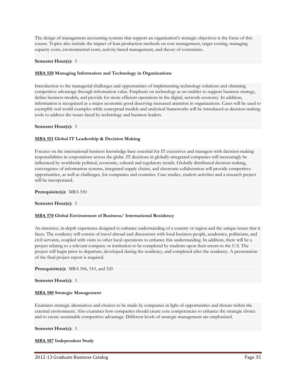The design of management accounting systems that support an organization's strategic objectives is the focus of this course. Topics also include the impact of lean production methods on cost management, target costing, managing capacity costs, environmental costs, activity-based management, and theory of constraints.

#### **Semester Hour(s):** 3

#### **[MBA 550](javascript:;) Managing Information and Technology in Organizations**

Introduction to the managerial challenges and opportunities of implementing technology solutions and obtaining competitive advantage through information value. Emphasis on technology as an enabler to support business strategy, define business models, and provide for more efficient operations in the digital, network economy. In addition, information is recognized as a major economic good deserving increased attention in organizations. Cases will be used to exemplify real world examples while conceptual models and analytical frameworks will be introduced as decision-making tools to address the issues faced by technology and business leaders.

#### **Semester Hour(s):** 3

#### **[MBA 551](javascript:;) Global IT Leadership & Decision Making**

Focuses on the international business knowledge-base essential for IT executives and managers with decision-making responsibilities in corporations across the globe. IT decisions in globally-integrated companies will increasingly be influenced by worldwide political, economic, cultural and regulatory trends. Globally distributed decision making, convergence of information systems, integrated supply chains, and electronic collaboration will provide competitive opportunities, as well as challenges, for companies and countries. Case studies, student activities and a research project will be incorporated.

#### **Prerequisite(s):** MBA 550

#### **Semester Hour(s):** 3

#### **[MBA 570](javascript:;) Global Environment of Business/ International Residency**

An intensive, in-depth experience designed to enhance understanding of a country or region and the unique issues that it faces. The residency will consist of travel abroad and discussions with local business people, academics, politicians, and civil servants, coupled with visits to other local operations to enhance this understanding. In addition, there will be a project relating to a relevant company or institution to be completed by students upon their return to the U.S. The project will begin prior to departure, developed during the residency, and completed after the residency. A presentation of the final project report is required.

**Prerequisite(s):** MBA 506, 510, and 520

**Semester Hour(s):** 3

#### **[MBA 580](javascript:;) Strategic Management**

Examines strategic alternatives and choices to be made by companies in light of opportunities and threats within the external environment. Also examines how companies should create core competencies to enhance the strategic choice and to create sustainable competitive advantage. Different levels of strategic management are emphasized.

**Semester Hour(s):** 3

#### **[MBA 587](javascript:;) Independent Study**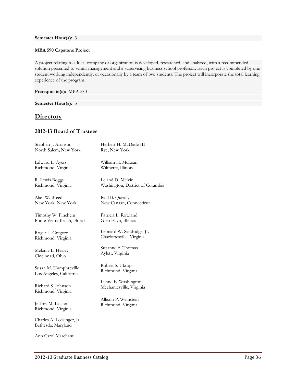#### **Semester Hour(s):** 3

#### **[MBA 590](javascript:;) Capstone Project**

A project relating to a local company or organization is developed, researched, and analyzed, with a recommended solution presented to senior management and a supervising business school professor. Each project is completed by one student working independently, or occasionally by a team of two students. The project will incorporate the total learning experience of the program.

**Prerequisite(s):** MBA 580

**Semester Hour(s):** 3

# **Directory**

## **2012-13 Board of Trustees**

| Stephen J. Aronson                              | Herbert H. McDade III            |
|-------------------------------------------------|----------------------------------|
| North Salem, New York                           | Rye, New York                    |
| Edward L. Ayers                                 | William H. McLean                |
| Richmond, Virginia                              | Wilmette, Illinois               |
| R. Lewis Boggs                                  | Leland D. Melvin                 |
| Richmond, Virginia                              | Washington, District of Columbia |
| Alan W. Breed                                   | Paul B. Queally                  |
| New York, New York                              | New Canaan, Connecticut          |
| Timothy W. Finchem                              | Patricia L. Rowland              |
| Ponte Vedra Beach, Florida                      | Glen Ellyn, Illinois             |
| Roger L. Gregory                                | Leonard W. Sandridge, Jr.        |
| Richmond, Virginia                              | Charlottesville, Virginia        |
| Melanie L. Healey                               | Suzanne F. Thomas                |
| Cincinnati, Ohio                                | Aylett, Virginia                 |
| Susan M. Humphreville                           | Robert S. Ukrop                  |
| Los Angeles, California                         | Richmond, Virginia               |
| Richard S. Johnson                              | Lynne E. Washington              |
| Richmond, Virginia                              | Mechanicsville, Virginia         |
| Jeffrey M. Lacker                               | Allison P. Weinstein             |
| Richmond, Virginia                              | Richmond, Virginia               |
| Charles A. Ledsinger, Jr.<br>Bethesda, Maryland |                                  |
| Ann Carol Marchant                              |                                  |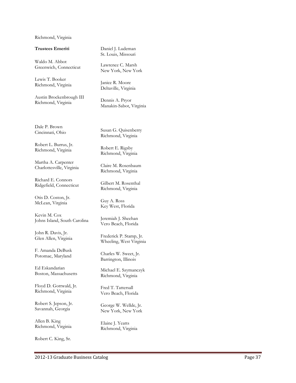#### Richmond, Virginia

#### **Trustees Emeriti**

Waldo M. Abbot Greenwich, Connecticut

Lewis T. Booker Richmond, Virginia

Austin Brockenbrough III Richmond, Virginia

Dale P. Brown Cincinnati, Ohio

Robert L. Burrus, Jr. Richmond, Virginia

Martha A. Carpenter Charlottesville, Virginia

Richard E. Connors Ridgefield, Connecticut

Otis D. Coston, Jr. McLean, Virginia

Kevin M. Cox Johns Island, South Carolina

John R. Davis, Jr. Glen Allen, Virginia

F. Amanda DeBusk Potomac, Maryland

Ed Eskandaria n Boston, Massachusetts

Floyd D. Gottwald, Jr. Richmond, Virginia

Robert S. Jepson, Jr. Savannah, Georgia

Allen B. King Richmond, Virginia

Robert C. King, Sr.

Daniel J. Ludeman St. Louis, Missouri

Lawrence C. Marsh New York, New York

Janice R. Moore Deltaville, Virginia

Dennis A. Pryor Manakin -Sabot, Virginia

Susan G. Quisenberry Richmond, Virginia

Robert E. Rigsby Richmond, Virginia

Claire M. Rosenbaum Richmond, Virginia

Gilbert M. Rosenthal Richmond, Virginia

Guy A. Ross Key West, Florida

Jeremiah J. Sheehan Vero Beach, Florida

Frederick P. Stamp, Jr. Wheeling, West Virginia

Charles W. Sweet, Jr. Barrington, Illinois

Michael E. Szymanczyk Richmond, Virginia

Fred T. Tattersall Vero Beach, Florida

George W. Wellde, Jr. New York, New York

Elaine J. Yeatts Richmond, Virginia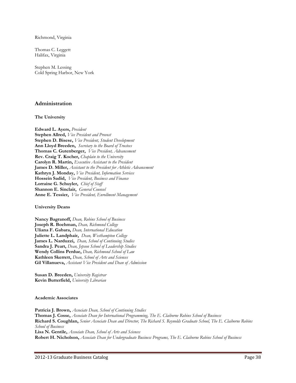Richmond, Virginia

Thomas C. Leggett Halifax, Virginia

Stephen M. Lessing Cold Spring Harbor, New York

## **Administration**

#### **The University**

**Edward L. Ayers,** *President* **Stephen Allred,** *Vice President and Provost* **Stephen D. Bisese,** *Vice President, Student Development* **Ann Lloyd Breeden,** *Secretary to the Board of Trustees* **Thomas C. Gutenberger,** *Vice President, Advancement* **Rev. Craig T. Kocher,** *Chaplain to the University* **Carolyn R. Martin,** *Executive Assistant to the President* **James D. Miller,** *Assistant to the President for Athletic Advancement* **Kathryn J. Monday,** *Vice President, Information Services* **Hossein Sadid,** *Vice President, Business and Finance* **Lorraine G. Schuyler,** *Chief of Staff* **Shannon E. Sinclair,** *General Counsel* **Anne E. Tessier,** *Vice President, Enrollment Management*

#### **University Deans**

**Nancy Bagranoff,** *Dean, Robins School of Business* **Joseph R. Boehman,** *Dean, Richmond College* **Uliana F. Gabara,** *Dean, International Education* **Juliette L. Landphair,** *Dean, Westhampton College* **James L. Narduzzi,** *Dean, School of Continuing Studies* **Sandra J. Peart,** *Dean, Jepson School of Leadership Studies* **Wendy Collins Perdue,** *Dean, Richmond School of Law* **Kathleen Skerrett,** *Dean, School of Arts and Sciences* **Gil Villanueva,** *Assistant Vice President and Dean of Admission*

**Susan D. Breeden,** *University Registrar* **Kevin Butterfield,** *University Librarian*

#### **Academic Associates**

**Patricia J. Brown,** *Associate Dean, School of Continuing Studies* **Thomas J. Cosse,** *Associate Dean for International Programming, The E. Claiborne Robins School of Business* **Richard S. Coughlan,** *Senior Associate Dean and Director, The Richard S. Reynolds Graduate School, The E. Claiborne Robins School of Business* **Lisa N. Gentile,** *Associate Dean, School of Arts and Sciences* **Robert H. Nicholson,** *Associate Dean for Undergraduate Business Programs, The E. Claiborne Robins School of Business*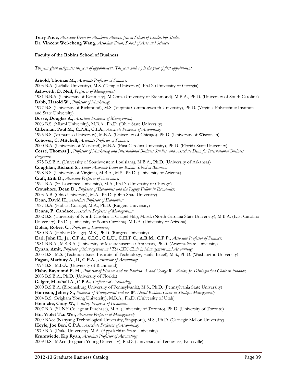**Terry Price,** *Associate Dean for Academic Affairs, Jepson School of Leadership Studies* **Dr. Vincent Wei-cheng Wang,** *Associate Dean, School of Arts and Sciences*

#### **Faculty of the Robins School of Business**

*The year given designates the year of appointment. The year with ( ) is the year of first appointment.*

**Arnold, Thomas M.,** *Associate Professor of Finance;* 2003 B.A. (LaSalle University), M.S. (Temple University), Ph.D. (University of Georgia) **Ashworth, D. Neil,** *Professor of Management;* 1981 B.B.A. (University of Kentucky), M.Com. (University of Richmond), M.B.A., Ph.D. (University of South Carolina) **Babb, Harold W.,** *Professor of Marketing;* 1977 B.S. (University of Richmond), M.S. (Virginia Commonwealth University), Ph.D. (Virginia Polytechnic Institute and State University) **Bosse, Douglas A.,** *Assistant Professor of Management;* 2006 B.S. (Miami University), M.B.A., Ph.D. (Ohio State University) **Clikeman, Paul M., C.P.A., C.I.A.,** *Associate Professor of Accounting;* 1995 B.S. (Valparaiso University), M.B.A. (University of Chicago), Ph.D. (University of Wisconsin) **Conover, C. Mitchell,** *Associate Professor of Finance;* 2000 B.A. (University of Maryland), M.B.A. (East Carolina University), Ph.D. (Florida State University) **Cossé, Thomas J.,** *Professor of Marketing and International Business Studies, and Associate Dean for International Business Programs:* 1975 B.S.B.A. (University of Southwestern Louisiana), M.B.A., Ph.D. (University of Arkansas) **Coughlan, Richard S.,** *Senior Associate Dean for Robins School of Business;*  1998 B.S. (University of Virginia), M.B.A., M.S., Ph.D. (University of Arizona) **Craft, Erik D.,** *Associate Professor of Economics;* 1994 B.A. (St. Lawrence University), M.A., Ph.D. (University of Chicago) **Croushore, Dean D.,** *Professor of Economics and the Rigsby Fellow in Economics;* 2003 A.B. (Ohio University), M.A., Ph.D. (Ohio State University) **Dean, David H.,** *Associate Professor of Economics;* 1987 B.A. (Hobart College), M.A., Ph.D. (Rutgers University) **Deans, P. Candace,** *Associate Professor of Management;* 2002 B.S. (University of North Carolina at Chapel Hill), M.Ed. (North Carolina State University), M.B.A. (East Carolina University), Ph.D. (University of South Carolina), M.L.A. (University of Arizona) **Dolan, Robert C.,** *Professor of Economics;* 1980 B.A. (Hobart College), M.S., Ph.D. (Rutgers University) **Earl, John H., Jr., C.F.A., C.I.C., C.L.U., C.H.F.C., A.R.M., C.F.P.,** *Associate Professor of Finance;* 1981 B.B.A., M.S.B.A. (University of Massachusetts at Amherst), Ph.D. (Arizona State University) **Eynan, Amit,** *Professor of Management and The CSX Chair in Management and Accounting;* 2003 B.S., M.S. (Technion-Israel Institute of Technology, Haifa, Israel), M.S., Ph.D. (Washington University) **Fagan, Marbury A., II, C.P.A.,** *Instructor of Accounting;* 1994 B.S., M.B.A. (University of Richmond) **Fishe, Raymond P. H.,** *Professor of Finance and the Patricia A. and George W. Wellde, Jr. Distinguished Chair in Finance;* 2003 B.S.B.A., Ph.D. (University of Florida) **Geiger, Marshall A., C.P.A.,** *Professor of Accounting;* 2000 B.S.B.A. (Bloomsburg University of Pennsylvania), M.S., Ph.D. (Pennsylvania State University) **Harrison, Jeffrey S.,** *Professor of Management and the W. David Robbins Chair in Strategic Management;* 2004 B.S. (Brigham Young University), M.B.A., Ph.D. (University of Utah) **Heinicke, Craig W.,** *Visiting Professor of Economics* 2007 B.A. (SUNY College at Purchase), M.A. (University of Toronto), Ph.D. (University of Toronto) **Ho, Violet Tzu Wei,** *Associate Professor of Management;* 2009 BAcc (Nanyang Technological University, Singapore), M.S., Ph.D. (Carnegie Mellon University) **Hoyle, Joe Ben, C.P.A.,** *Associate Professor of Accounting;* 1979 B.A. (Duke University), M.A. (Appalachian State University) **Krumwiede, Kip Ryan,** *Associate Professor of Accounting;* 2009 B.S., MAcc (Brigham Young University), Ph.D. (University of Tennessee, Knoxville)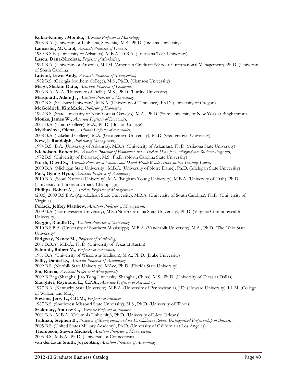**Kukar-Kinney , Monika,** *Associate Professor of Marketing;* 2003 B.A. (University of Ljubljana, Slovenia), M.S., Ph.D. (Indiana University) **Lancaster, M. Carol,** *Associate Professor of Finance;* 1989 B.S.E. (University of Arkansas), M.B.A., D.B.A. (Louisiana Tech University) **Lascu, Dana-Nicoleta,** *Professor of Marketing;* 1991 B.A. (University of Arizona), M.I.M. (American Graduate School of International Management), Ph.D. (University of South Carolina) **Litteral, Lewis Andy,** *Associate Professor of Management;* 1982 B.S. (Georgia Southern College), M.S., Ph.D. (Clemson University) **Mago, Shakun Datta,** *Assistant Professor of Economics;* 2006 B.A., M.A. (University of Delhi), M.S., Ph.D. (Purdue University) **Marquardt, Adam J. ,** *Assistant Professor of Marketing,* 2007 B.S. (Salisbury University), M.B.A. (University of Tennessee), Ph.D. (University of Oregon) **McGoldrick, KimMarie,** *Professor of Economics;* 1992 B.S. (State University of New York at Oswego), M.A., Ph.D. (State University of New York at Binghamton) **Monks, James W.,** *Associate Professor of Economics;* 2001 B.A. (Union College), M.A., Ph.D. (Boston College) **Mykhaylova, Olena,** *Assistant Professor of Economics;* 2008 B.A. (Lakeland College), M.A. (Georgetown University), Ph.D. (Georgetown University) **New, J. Randolph,** *Professor of Management;* 1994 B.S., B.A. (University of Arkansas), M.B.A. (University of Arkansas), Ph.D. (Arizona State University) **Nicholson, Robert H.,** *Associate Professor of Economics and Associate Dean for Undergraduate Business Programs;* 1972 B.S. (University of Delaware), M.S., Ph.D. (North Carolina State University) **North, David S.,** *Associate Professor of Finance and David Meade White Distinguished Teaching Fellow;* 2000 B.A. (Michigan State University), M.B.A. (University of Notre Dame), Ph.D. (Michigan State University) **Paik, Gyung Hyun,** *Assistant Professor of Accounting;* 2010 B.A. (Seoul National University), M.A. (Brigham Young University), M.B.A. (University of Utah), Ph.D. (University of Illinois at Urbana-Champaign) **Phillips, Robert A.,** *Associate Professor of Management;* (2005) 2009 B.S.B.A. (Appalachian State University), M.B.A. (University of South Carolina), Ph.D. (University of Virginia) **Pollack, Jeffrey Matthew,** *Assistant Professor of Management;* 2009 B.A. (Northwestern University), M.S. (North Carolina State University), Ph.D. (Virginia Commonwealth University) **Raggio, Randle D.,** *Assistant Professor of Marketing;* 2010 B.S.B.A. (University of Southern Mississippi), M.B.A. (Vanderbilt University), M.A., Ph.D. (The Ohio State University) **Ridgway, Nancy M.,** *Professor of Marketing;* 2001 B.B.A., M.B.A., Ph.D. (University of Texas at Austin) **Schmidt, Robert M.,** *Professor of Economics;* 1981 B.A. (University of Wisconsin-Madison), M.A., Ph.D. (Duke University) **Selby, Daniel D.,** *Assistant Professor of Accounting;* 2009 B.S. (Norfolk State University), MAcc, Ph.D. (Florida State University) **Shi, Ruixia,** *Assistant Professor of Management;* 2009 B.Eng (Shanghai Jiao Tong University, Shanghai, China), M.S., Ph.D. (University of Texas at Dallas) **Slaughter, Raymond L., C.P.A.,** *Associate Professor of Accounting;* 1977 B.A. (Kentucky State University), M.B.A. (University of Pennsylvania), J.D. (Howard University), LL.M. (College of William and Mary) **Stevens, Jerry L., C.C.M.,** *Professor of Finance;* 1987 B.S. (Southwest Missouri State University), M.S., Ph.D. (University of Illinois) **Szakmary, Andrew C.,** *Associate Professor of Finance;* 2001 B.A., M.B.A. (Columbia University), Ph.D. (University of New Orleans) **Tallman, Stephen B.,** *Professor of Management and the E. Claiborne Robins Distinguished Professorship in Business;* 2005 B.S. (United States Military Academy), Ph.D. (University of California at Los Angeles) **Thompson, Steven Michael,** *Assistant Professor of Management;* 2005 B.S., M.B.A., Ph.D. (University of Connecticut) **van der Laan Smith, Joyce Ann,** *Assistant Professor of Accounting;*